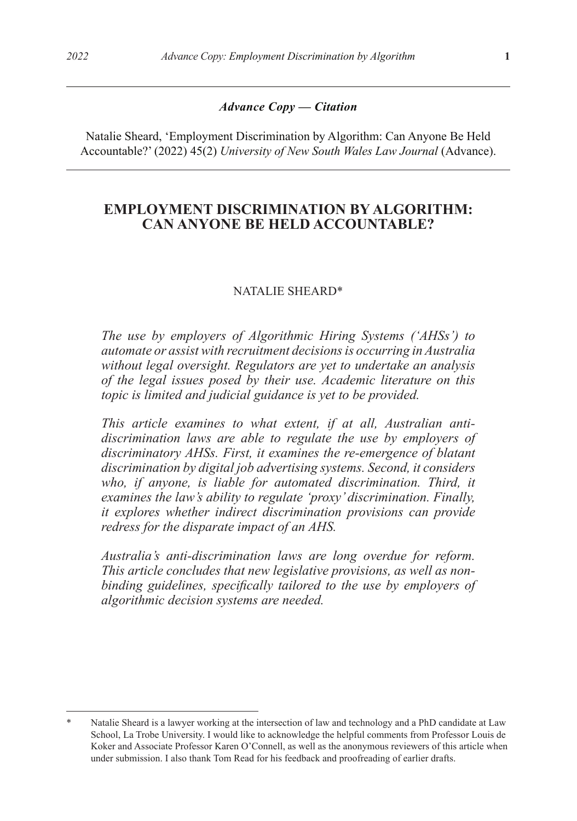#### *Advance Copy — Citation*

Natalie Sheard, 'Employment Discrimination by Algorithm: Can Anyone Be Held Accountable?' (2022) 45(2) *University of New South Wales Law Journal* (Advance).

## **EMPLOYMENT DISCRIMINATION BY ALGORITHM: CAN ANYONE BE HELD ACCOUNTABLE?**

#### NATALIE SHEARD\*

*The use by employers of Algorithmic Hiring Systems ('AHSs') to automate or assist with recruitment decisions is occurring in Australia without legal oversight. Regulators are yet to undertake an analysis of the legal issues posed by their use. Academic literature on this topic is limited and judicial guidance is yet to be provided.* 

*This article examines to what extent, if at all, Australian antidiscrimination laws are able to regulate the use by employers of discriminatory AHSs. First, it examines the re-emergence of blatant discrimination by digital job advertising systems. Second, it considers*  who, if anyone, is liable for automated discrimination. Third, it *examines the law's ability to regulate 'proxy' discrimination. Finally, it explores whether indirect discrimination provisions can provide redress for the disparate impact of an AHS.* 

*Australia's anti-discrimination laws are long overdue for reform. This article concludes that new legislative provisions, as well as nonbinding guidelines, specifically tailored to the use by employers of algorithmic decision systems are needed.*

Natalie Sheard is a lawyer working at the intersection of law and technology and a PhD candidate at Law School, La Trobe University. I would like to acknowledge the helpful comments from Professor Louis de Koker and Associate Professor Karen O'Connell, as well as the anonymous reviewers of this article when under submission. I also thank Tom Read for his feedback and proofreading of earlier drafts.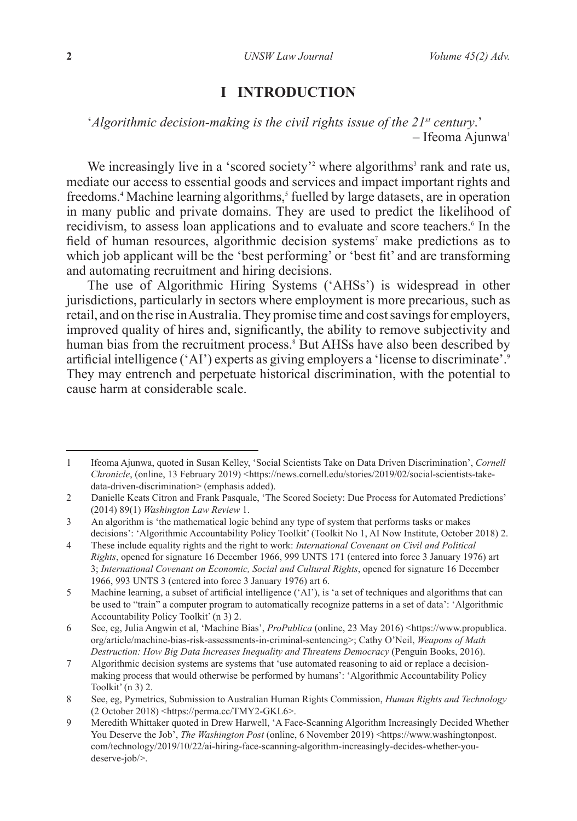## **I INTRODUCTION**

'*Algorithmic decision-making is the civil rights issue of the 21st century*.'  $-$  Ifeoma Ajunwa<sup>1</sup>

We increasingly live in a 'scored society'<sup>2</sup> where algorithms<sup>3</sup> rank and rate us, mediate our access to essential goods and services and impact important rights and freedoms.<sup>4</sup> Machine learning algorithms,<sup>5</sup> fuelled by large datasets, are in operation in many public and private domains. They are used to predict the likelihood of recidivism, to assess loan applications and to evaluate and score teachers. In the field of human resources, algorithmic decision systems<sup>7</sup> make predictions as to which job applicant will be the 'best performing' or 'best fit' and are transforming and automating recruitment and hiring decisions.

The use of Algorithmic Hiring Systems ('AHSs') is widespread in other jurisdictions, particularly in sectors where employment is more precarious, such as retail, and on the rise in Australia. They promise time and cost savings for employers, improved quality of hires and, significantly, the ability to remove subjectivity and human bias from the recruitment process.<sup>8</sup> But AHSs have also been described by artificial intelligence ('AI') experts as giving employers a 'license to discriminate'.<sup>9</sup> They may entrench and perpetuate historical discrimination, with the potential to cause harm at considerable scale.

<sup>1</sup> Ifeoma Ajunwa, quoted in Susan Kelley, 'Social Scientists Take on Data Driven Discrimination', *Cornell Chronicle*, (online, 13 February 2019) <https://news.cornell.edu/stories/2019/02/social-scientists-takedata-driven-discrimination> (emphasis added).

<sup>2</sup> Danielle Keats Citron and Frank Pasquale, 'The Scored Society: Due Process for Automated Predictions' (2014) 89(1) *Washington Law Review* 1.

<sup>3</sup> An algorithm is 'the mathematical logic behind any type of system that performs tasks or makes decisions': 'Algorithmic Accountability Policy Toolkit' (Toolkit No 1, AI Now Institute, October 2018) 2.

<sup>4</sup> These include equality rights and the right to work: *International Covenant on Civil and Political Rights*, opened for signature 16 December 1966, 999 UNTS 171 (entered into force 3 January 1976) art 3; *International Covenant on Economic, Social and Cultural Rights*, opened for signature 16 December 1966, 993 UNTS 3 (entered into force 3 January 1976) art 6.

<sup>5</sup> Machine learning, a subset of artificial intelligence ('AI'), is 'a set of techniques and algorithms that can be used to "train" a computer program to automatically recognize patterns in a set of data': 'Algorithmic Accountability Policy Toolkit' (n 3) 2.

<sup>6</sup> See, eg, Julia Angwin et al, 'Machine Bias', *ProPublica* (online, 23 May 2016) <https://www.propublica. org/article/machine-bias-risk-assessments-in-criminal-sentencing>; Cathy O'Neil, *Weapons of Math Destruction: How Big Data Increases Inequality and Threatens Democracy* (Penguin Books, 2016).

<sup>7</sup> Algorithmic decision systems are systems that 'use automated reasoning to aid or replace a decisionmaking process that would otherwise be performed by humans': 'Algorithmic Accountability Policy Toolkit' (n 3) 2.

<sup>8</sup> See, eg, Pymetrics, Submission to Australian Human Rights Commission, *Human Rights and Technology* (2 October 2018) <https://perma.cc/TMY2-GKL6>.

<sup>9</sup> Meredith Whittaker quoted in Drew Harwell, 'A Face-Scanning Algorithm Increasingly Decided Whether You Deserve the Job', *The Washington Post* (online, 6 November 2019) <https://www.washingtonpost. com/technology/2019/10/22/ai-hiring-face-scanning-algorithm-increasingly-decides-whether-youdeserve-job/>.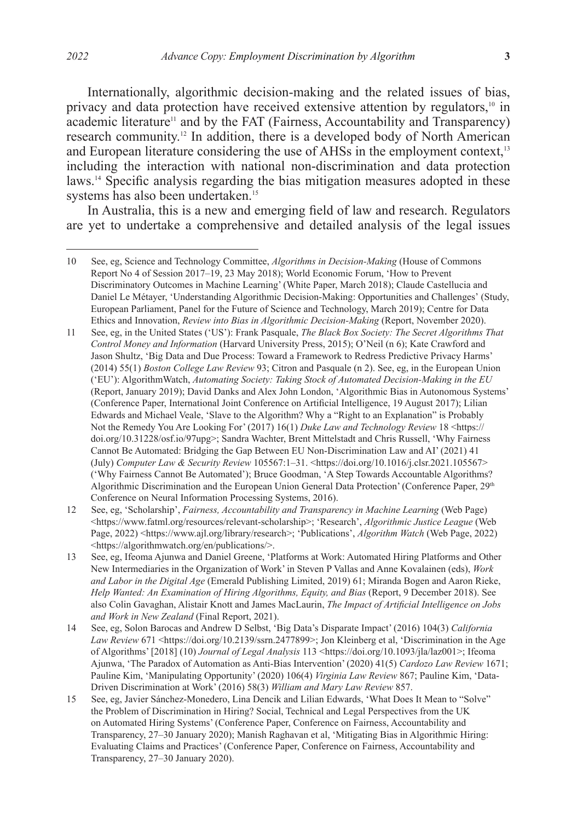Internationally, algorithmic decision-making and the related issues of bias, privacy and data protection have received extensive attention by regulators,<sup>10</sup> in  $a$ cademic literature<sup>11</sup> and by the FAT (Fairness, Accountability and Transparency) research community.12 In addition, there is a developed body of North American and European literature considering the use of AHSs in the employment context,<sup>13</sup> including the interaction with national non-discrimination and data protection laws.14 Specific analysis regarding the bias mitigation measures adopted in these systems has also been undertaken.<sup>15</sup>

In Australia, this is a new and emerging field of law and research. Regulators are yet to undertake a comprehensive and detailed analysis of the legal issues

11 See, eg, in the United States ('US'): Frank Pasquale, *The Black Box Society: The Secret Algorithms That Control Money and Information* (Harvard University Press, 2015); O'Neil (n 6); Kate Crawford and Jason Shultz, 'Big Data and Due Process: Toward a Framework to Redress Predictive Privacy Harms' (2014) 55(1) *Boston College Law Review* 93; Citron and Pasquale (n 2). See, eg, in the European Union ('EU'): AlgorithmWatch, *Automating Society: Taking Stock of Automated Decision-Making in the EU* (Report, January 2019); David Danks and Alex John London, 'Algorithmic Bias in Autonomous Systems' (Conference Paper, International Joint Conference on Artificial Intelligence, 19 August 2017); Lilian Edwards and Michael Veale, 'Slave to the Algorithm? Why a "Right to an Explanation" is Probably Not the Remedy You Are Looking For' (2017) 16(1) *Duke Law and Technology Review* 18 <https:// doi.org/10.31228/osf.io/97upg>; Sandra Wachter, Brent Mittelstadt and Chris Russell, 'Why Fairness Cannot Be Automated: Bridging the Gap Between EU Non-Discrimination Law and AI' (2021) 41 (July) *Computer Law & Security Review* 105567:1–31. <https://doi.org/10.1016/j.clsr.2021.105567> ('Why Fairness Cannot Be Automated'); Bruce Goodman, 'A Step Towards Accountable Algorithms? Algorithmic Discrimination and the European Union General Data Protection' (Conference Paper, 29<sup>th</sup> Conference on Neural Information Processing Systems, 2016).

12 See, eg, 'Scholarship', *Fairness, Accountability and Transparency in Machine Learning* (Web Page) <https://www.fatml.org/resources/relevant-scholarship>; 'Research', *Algorithmic Justice League* (Web Page, 2022) <https://www.ajl.org/library/research>; 'Publications', *Algorithm Watch* (Web Page, 2022) <https://algorithmwatch.org/en/publications/>.

- 13 See, eg, Ifeoma Ajunwa and Daniel Greene, 'Platforms at Work: Automated Hiring Platforms and Other New Intermediaries in the Organization of Work' in Steven P Vallas and Anne Kovalainen (eds), *Work and Labor in the Digital Age* (Emerald Publishing Limited, 2019) 61; Miranda Bogen and Aaron Rieke, *Help Wanted: An Examination of Hiring Algorithms, Equity, and Bias (Report, 9 December 2018). See* also Colin Gavaghan, Alistair Knott and James MacLaurin, *The Impact of Artificial Intelligence on Jobs and Work in New Zealand* (Final Report, 2021).
- 14 See, eg, Solon Barocas and Andrew D Selbst, 'Big Data's Disparate Impact' (2016) 104(3) *California Law Review* 671 <https://doi.org/10.2139/ssrn.2477899>; Jon Kleinberg et al, 'Discrimination in the Age of Algorithms' [2018] (10) *Journal of Legal Analysis* 113 <https://doi.org/10.1093/jla/laz001>; Ifeoma Ajunwa, 'The Paradox of Automation as Anti-Bias Intervention' (2020) 41(5) *Cardozo Law Review* 1671; Pauline Kim, 'Manipulating Opportunity' (2020) 106(4) *Virginia Law Review* 867; Pauline Kim, 'Data-Driven Discrimination at Work' (2016) 58(3) *William and Mary Law Review* 857.
- 15 See, eg, Javier Sánchez-Monedero, Lina Dencik and Lilian Edwards, 'What Does It Mean to "Solve" the Problem of Discrimination in Hiring? Social, Technical and Legal Perspectives from the UK on Automated Hiring Systems' (Conference Paper, Conference on Fairness, Accountability and Transparency, 27–30 January 2020); Manish Raghavan et al, 'Mitigating Bias in Algorithmic Hiring: Evaluating Claims and Practices' (Conference Paper, Conference on Fairness, Accountability and Transparency, 27–30 January 2020).

<sup>10</sup> See, eg, Science and Technology Committee, *Algorithms in Decision-Making* (House of Commons Report No 4 of Session 2017–19, 23 May 2018); World Economic Forum, 'How to Prevent Discriminatory Outcomes in Machine Learning' (White Paper, March 2018); Claude Castellucia and Daniel Le Métayer, 'Understanding Algorithmic Decision-Making: Opportunities and Challenges' (Study, European Parliament, Panel for the Future of Science and Technology, March 2019); Centre for Data Ethics and Innovation, *Review into Bias in Algorithmic Decision-Making* (Report, November 2020).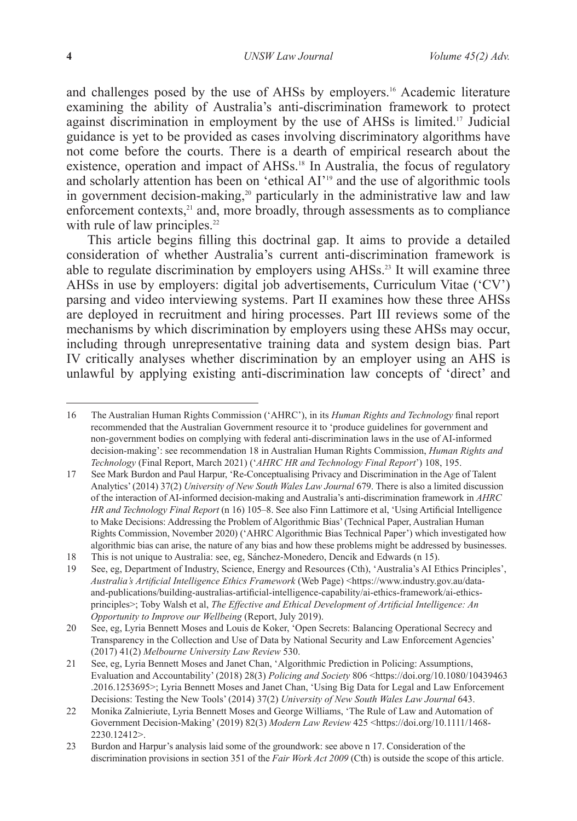and challenges posed by the use of AHSs by employers.<sup>16</sup> Academic literature examining the ability of Australia's anti-discrimination framework to protect against discrimination in employment by the use of AHSs is limited.17 Judicial guidance is yet to be provided as cases involving discriminatory algorithms have not come before the courts. There is a dearth of empirical research about the existence, operation and impact of AHSs.<sup>18</sup> In Australia, the focus of regulatory and scholarly attention has been on 'ethical AI'19 and the use of algorithmic tools in government decision-making,<sup>20</sup> particularly in the administrative law and law enforcement contexts,<sup>21</sup> and, more broadly, through assessments as to compliance with rule of law principles. $22$ 

This article begins filling this doctrinal gap. It aims to provide a detailed consideration of whether Australia's current anti-discrimination framework is able to regulate discrimination by employers using AHSs.<sup>23</sup> It will examine three AHSs in use by employers: digital job advertisements, Curriculum Vitae ('CV') parsing and video interviewing systems. Part II examines how these three AHSs are deployed in recruitment and hiring processes. Part III reviews some of the mechanisms by which discrimination by employers using these AHSs may occur, including through unrepresentative training data and system design bias. Part IV critically analyses whether discrimination by an employer using an AHS is unlawful by applying existing anti-discrimination law concepts of 'direct' and

<sup>16</sup> The Australian Human Rights Commission ('AHRC'), in its *Human Rights and Technology* final report recommended that the Australian Government resource it to 'produce guidelines for government and non-government bodies on complying with federal anti-discrimination laws in the use of AI-informed decision-making': see recommendation 18 in Australian Human Rights Commission, *Human Rights and Technology* (Final Report, March 2021) ('*AHRC HR and Technology Final Report*') 108, 195.

<sup>17</sup> See Mark Burdon and Paul Harpur, 'Re-Conceptualising Privacy and Discrimination in the Age of Talent Analytics' (2014) 37(2) *University of New South Wales Law Journal* 679. There is also a limited discussion of the interaction of AI-informed decision-making and Australia's anti-discrimination framework in *AHRC HR and Technology Final Report* (n 16) 105–8. See also Finn Lattimore et al, 'Using Artificial Intelligence to Make Decisions: Addressing the Problem of Algorithmic Bias' (Technical Paper, Australian Human Rights Commission, November 2020) ('AHRC Algorithmic Bias Technical Paper') which investigated how algorithmic bias can arise, the nature of any bias and how these problems might be addressed by businesses.

<sup>18</sup> This is not unique to Australia: see, eg, Sánchez-Monedero, Dencik and Edwards (n 15).

<sup>19</sup> See, eg, Department of Industry, Science, Energy and Resources (Cth), 'Australia's AI Ethics Principles', *Australia's Artificial Intelligence Ethics Framework* (Web Page) <https://www.industry.gov.au/dataand-publications/building-australias-artificial-intelligence-capability/ai-ethics-framework/ai-ethicsprinciples>; Toby Walsh et al, *The Effective and Ethical Development of Artificial Intelligence: An Opportunity to Improve our Wellbeing* (Report, July 2019).

<sup>20</sup> See, eg, Lyria Bennett Moses and Louis de Koker, 'Open Secrets: Balancing Operational Secrecy and Transparency in the Collection and Use of Data by National Security and Law Enforcement Agencies' (2017) 41(2) *Melbourne University Law Review* 530.

<sup>21</sup> See, eg, Lyria Bennett Moses and Janet Chan, 'Algorithmic Prediction in Policing: Assumptions, Evaluation and Accountability' (2018) 28(3) *Policing and Society* 806 <https://doi.org/10.1080/10439463 .2016.1253695>; Lyria Bennett Moses and Janet Chan, 'Using Big Data for Legal and Law Enforcement Decisions: Testing the New Tools' (2014) 37(2) *University of New South Wales Law Journal* 643.

<sup>22</sup> Monika Zalnieriute, Lyria Bennett Moses and George Williams, 'The Rule of Law and Automation of Government Decision-Making' (2019) 82(3) *Modern Law Review* 425 <https://doi.org/10.1111/1468- 2230.12412>.

<sup>23</sup> Burdon and Harpur's analysis laid some of the groundwork: see above n 17. Consideration of the discrimination provisions in section 351 of the *Fair Work Act 2009* (Cth) is outside the scope of this article.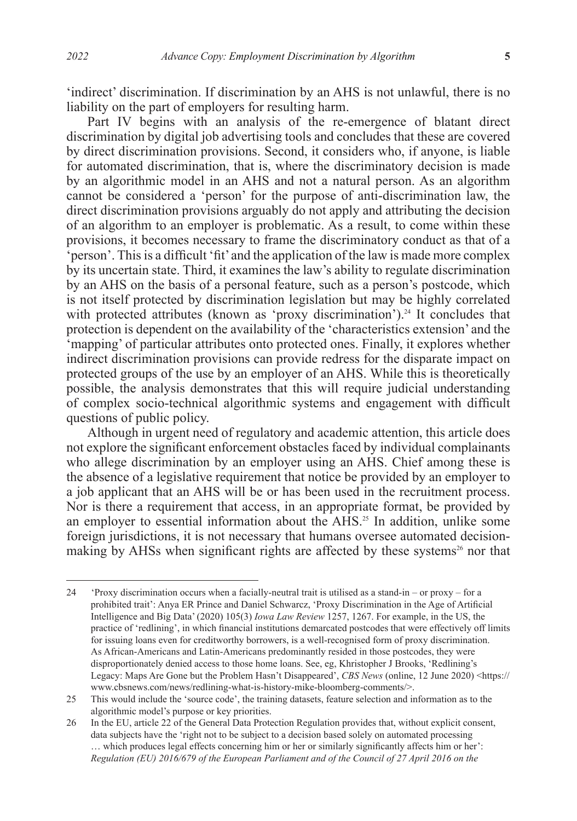'indirect' discrimination. If discrimination by an AHS is not unlawful, there is no liability on the part of employers for resulting harm.

Part IV begins with an analysis of the re-emergence of blatant direct discrimination by digital job advertising tools and concludes that these are covered by direct discrimination provisions. Second, it considers who, if anyone, is liable for automated discrimination, that is, where the discriminatory decision is made by an algorithmic model in an AHS and not a natural person. As an algorithm cannot be considered a 'person' for the purpose of anti-discrimination law, the direct discrimination provisions arguably do not apply and attributing the decision of an algorithm to an employer is problematic. As a result, to come within these provisions, it becomes necessary to frame the discriminatory conduct as that of a  $\epsilon$  person'. This is a difficult 'fit' and the application of the law is made more complex by its uncertain state. Third, it examines the law's ability to regulate discrimination by an AHS on the basis of a personal feature, such as a person's postcode, which is not itself protected by discrimination legislation but may be highly correlated with protected attributes (known as 'proxy discrimination').<sup>24</sup> It concludes that protection is dependent on the availability of the 'characteristics extension' and the 'mapping' of particular attributes onto protected ones. Finally, it explores whether indirect discrimination provisions can provide redress for the disparate impact on protected groups of the use by an employer of an AHS. While this is theoretically possible, the analysis demonstrates that this will require judicial understanding of complex socio-technical algorithmic systems and engagement with difficult questions of public policy.

Although in urgent need of regulatory and academic attention, this article does not explore the significant enforcement obstacles faced by individual complainants who allege discrimination by an employer using an AHS. Chief among these is the absence of a legislative requirement that notice be provided by an employer to a job applicant that an AHS will be or has been used in the recruitment process. Nor is there a requirement that access, in an appropriate format, be provided by an employer to essential information about the  $\overline{AHS}$ <sup>25</sup>. In addition, unlike some foreign jurisdictions, it is not necessary that humans oversee automated decisionmaking by AHSs when significant rights are affected by these systems<sup>26</sup> nor that

<sup>24</sup> 'Proxy discrimination occurs when a facially-neutral trait is utilised as a stand-in – or proxy – for a prohibited trait': Anya ER Prince and Daniel Schwarcz, 'Proxy Discrimination in the Age of Artificial Intelligence and Big Data' (2020) 105(3) *Iowa Law Review* 1257, 1267. For example, in the US, the practice of 'redlining', in which financial institutions demarcated postcodes that were effectively off limits for issuing loans even for creditworthy borrowers, is a well-recognised form of proxy discrimination. As African-Americans and Latin-Americans predominantly resided in those postcodes, they were disproportionately denied access to those home loans. See, eg, Khristopher J Brooks, 'Redlining's Legacy: Maps Are Gone but the Problem Hasn't Disappeared', *CBS News* (online, 12 June 2020) <https:// www.cbsnews.com/news/redlining-what-is-history-mike-bloomberg-comments/>.

<sup>25</sup> This would include the 'source code', the training datasets, feature selection and information as to the algorithmic model's purpose or key priorities.

<sup>26</sup> In the EU, article 22 of the General Data Protection Regulation provides that, without explicit consent, data subjects have the 'right not to be subject to a decision based solely on automated processing … which produces legal effects concerning him or her or similarly significantly affects him or her': *Regulation (EU) 2016/679 of the European Parliament and of the Council of 27 April 2016 on the*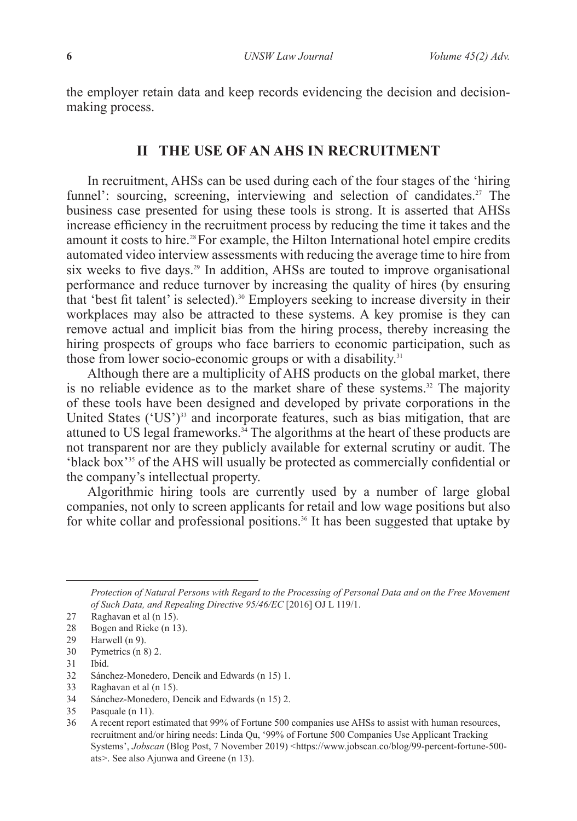the employer retain data and keep records evidencing the decision and decisionmaking process.

### **II THE USE OF AN AHS IN RECRUITMENT**

In recruitment, AHSs can be used during each of the four stages of the 'hiring funnel': sourcing, screening, interviewing and selection of candidates.<sup>27</sup> The business case presented for using these tools is strong. It is asserted that AHSs increase efficiency in the recruitment process by reducing the time it takes and the amount it costs to hire.<sup>28</sup> For example, the Hilton International hotel empire credits automated video interview assessments with reducing the average time to hire from six weeks to five days.<sup>29</sup> In addition, AHSs are touted to improve organisational performance and reduce turnover by increasing the quality of hires (by ensuring that 'best fit talent' is selected).<sup>30</sup> Employers seeking to increase diversity in their workplaces may also be attracted to these systems. A key promise is they can remove actual and implicit bias from the hiring process, thereby increasing the hiring prospects of groups who face barriers to economic participation, such as those from lower socio-economic groups or with a disability. $31$ 

Although there are a multiplicity of AHS products on the global market, there is no reliable evidence as to the market share of these systems.<sup>32</sup> The majority of these tools have been designed and developed by private corporations in the United States  $({^1US})^{33}$  and incorporate features, such as bias mitigation, that are attuned to US legal frameworks. $34$  The algorithms at the heart of these products are not transparent nor are they publicly available for external scrutiny or audit. The 'black box'35 of the AHS will usually be protected as commercially confidential or the company's intellectual property.

Algorithmic hiring tools are currently used by a number of large global companies, not only to screen applicants for retail and low wage positions but also for white collar and professional positions.<sup>36</sup> It has been suggested that uptake by

*Protection of Natural Persons with Regard to the Processing of Personal Data and on the Free Movement of Such Data, and Repealing Directive 95/46/EC* [2016] OJ L 119/1.

<sup>27</sup> Raghavan et al (n 15).

<sup>28</sup> Bogen and Rieke (n 13).

<sup>29</sup> Harwell (n 9).

<sup>30</sup> Pymetrics (n 8) 2.

<sup>31</sup> Ibid.

<sup>32</sup> Sánchez-Monedero, Dencik and Edwards (n 15) 1.

<sup>33</sup> Raghavan et al (n 15).

<sup>34</sup> Sánchez-Monedero, Dencik and Edwards (n 15) 2.

<sup>35</sup> Pasquale (n 11).

<sup>36</sup> A recent report estimated that 99% of Fortune 500 companies use AHSs to assist with human resources, recruitment and/or hiring needs: Linda Qu, '99% of Fortune 500 Companies Use Applicant Tracking Systems', *Jobscan* (Blog Post, 7 November 2019) <https://www.jobscan.co/blog/99-percent-fortune-500 ats>. See also Ajunwa and Greene (n 13).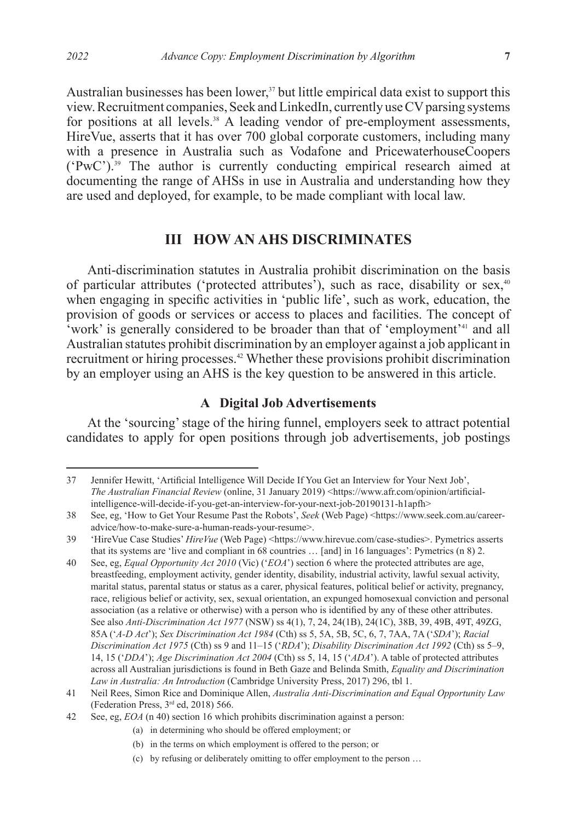Australian businesses has been lower, $37$  but little empirical data exist to support this view. Recruitment companies, Seek and LinkedIn, currently use CV parsing systems for positions at all levels.<sup>38</sup> A leading vendor of pre-employment assessments, HireVue, asserts that it has over 700 global corporate customers, including many with a presence in Australia such as Vodafone and PricewaterhouseCoopers  $({}^{\circ}PwC')$ <sup>39</sup>. The author is currently conducting empirical research aimed at documenting the range of AHSs in use in Australia and understanding how they are used and deployed, for example, to be made compliant with local law.

# **III HOW AN AHS DISCRIMINATES**

Anti-discrimination statutes in Australia prohibit discrimination on the basis of particular attributes ('protected attributes'), such as race, disability or sex,<sup>40</sup> when engaging in specific activities in 'public life', such as work, education, the provision of goods or services or access to places and facilities. The concept of 'work' is generally considered to be broader than that of 'employment'41 and all Australian statutes prohibit discrimination by an employer against a job applicant in recruitment or hiring processes.<sup>42</sup> Whether these provisions prohibit discrimination by an employer using an AHS is the key question to be answered in this article.

## **A Digital Job Advertisements**

At the 'sourcing' stage of the hiring funnel, employers seek to attract potential candidates to apply for open positions through job advertisements, job postings

(a) in determining who should be offered employment; or

<sup>37</sup> Jennifer Hewitt, 'Artificial Intelligence Will Decide If You Get an Interview for Your Next Job', *The Australian Financial Review* (online, 31 January 2019) <https://www.afr.com/opinion/artificialintelligence-will-decide-if-you-get-an-interview-for-your-next-job-20190131-h1apfh>

<sup>38</sup> See, eg, 'How to Get Your Resume Past the Robots', *Seek* (Web Page) <https://www.seek.com.au/careeradvice/how-to-make-sure-a-human-reads-your-resume>.

<sup>39 &#</sup>x27;HireVue Case Studies' *HireVue* (Web Page) <https://www.hirevue.com/case-studies>. Pymetrics asserts that its systems are 'live and compliant in 68 countries … [and] in 16 languages': Pymetrics (n 8) 2.

<sup>40</sup> See, eg, *Equal Opportunity Act 2010* (Vic) ('*EOA*') section 6 where the protected attributes are age, breastfeeding, employment activity, gender identity, disability, industrial activity, lawful sexual activity, marital status, parental status or status as a carer, physical features, political belief or activity, pregnancy, race, religious belief or activity, sex, sexual orientation, an expunged homosexual conviction and personal association (as a relative or otherwise) with a person who is identified by any of these other attributes. See also *Anti-Discrimination Act 1977* (NSW) ss 4(1), 7, 24, 24(1B), 24(1C), 38B, 39, 49B, 49T, 49ZG, 85A ('*A-D Act*'); *Sex Discrimination Act 1984* (Cth) ss 5, 5A, 5B, 5C, 6, 7, 7AA, 7A ('*SDA*'); *Racial Discrimination Act 1975* (Cth) ss 9 and 11–15 ('*RDA*'); *Disability Discrimination Act 1992* (Cth) ss 5–9, 14, 15 ('*DDA*'); *Age Discrimination Act 2004* (Cth) ss 5, 14, 15 ('*ADA*'). A table of protected attributes across all Australian jurisdictions is found in Beth Gaze and Belinda Smith, *Equality and Discrimination Law in Australia: An Introduction* (Cambridge University Press, 2017) 296, tbl 1.

<sup>41</sup> Neil Rees, Simon Rice and Dominique Allen, *Australia Anti-Discrimination and Equal Opportunity Law* (Federation Press, 3rd ed, 2018) 566.

<sup>42</sup> See, eg, *EOA* (n 40) section 16 which prohibits discrimination against a person:

<sup>(</sup>b) in the terms on which employment is offered to the person; or

<sup>(</sup>c) by refusing or deliberately omitting to offer employment to the person …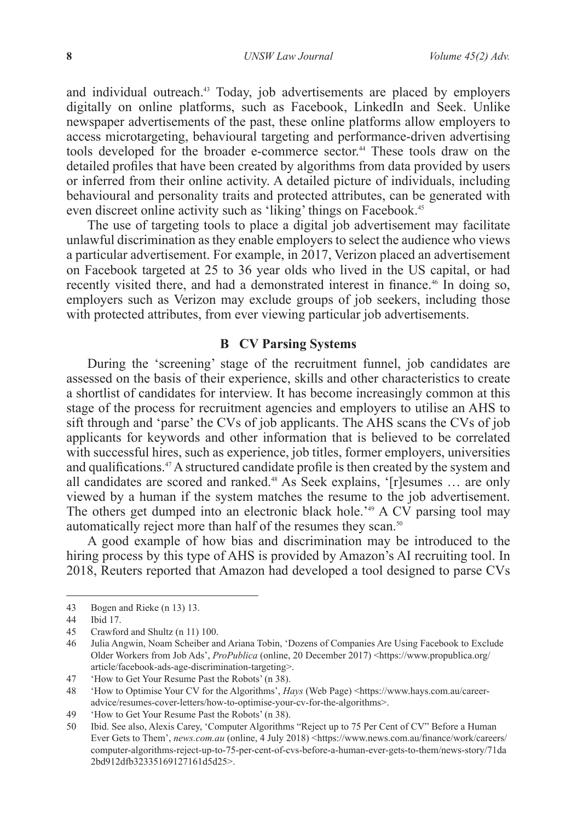and individual outreach.<sup>43</sup> Today, job advertisements are placed by employers digitally on online platforms, such as Facebook, LinkedIn and Seek. Unlike newspaper advertisements of the past, these online platforms allow employers to access microtargeting, behavioural targeting and performance-driven advertising tools developed for the broader e-commerce sector.<sup>44</sup> These tools draw on the detailed profiles that have been created by algorithms from data provided by users or inferred from their online activity. A detailed picture of individuals, including behavioural and personality traits and protected attributes, can be generated with even discreet online activity such as 'liking' things on Facebook.<sup>45</sup>

The use of targeting tools to place a digital job advertisement may facilitate unlawful discrimination as they enable employers to select the audience who views a particular advertisement. For example, in 2017, Verizon placed an advertisement on Facebook targeted at 25 to 36 year olds who lived in the US capital, or had recently visited there, and had a demonstrated interest in finance.<sup>46</sup> In doing so, employers such as Verizon may exclude groups of job seekers, including those with protected attributes, from ever viewing particular job advertisements.

#### **B CV Parsing Systems**

During the 'screening' stage of the recruitment funnel, job candidates are assessed on the basis of their experience, skills and other characteristics to create a shortlist of candidates for interview. It has become increasingly common at this stage of the process for recruitment agencies and employers to utilise an AHS to sift through and 'parse' the CVs of job applicants. The AHS scans the CVs of job applicants for keywords and other information that is believed to be correlated with successful hires, such as experience, job titles, former employers, universities and qualifications.47 A structured candidate profile is then created by the system and all candidates are scored and ranked.48 As Seek explains, '[r]esumes … are only viewed by a human if the system matches the resume to the job advertisement. The others get dumped into an electronic black hole.<sup>249</sup> A CV parsing tool may automatically reject more than half of the resumes they scan.<sup>50</sup>

A good example of how bias and discrimination may be introduced to the hiring process by this type of AHS is provided by Amazon's AI recruiting tool. In 2018, Reuters reported that Amazon had developed a tool designed to parse CVs

<sup>43</sup> Bogen and Rieke (n 13) 13.

<sup>44</sup> Ibid 17.

<sup>45</sup> Crawford and Shultz (n 11) 100.

<sup>46</sup> Julia Angwin, Noam Scheiber and Ariana Tobin, 'Dozens of Companies Are Using Facebook to Exclude Older Workers from Job Ads', *ProPublica* (online, 20 December 2017) <https://www.propublica.org/ article/facebook-ads-age-discrimination-targeting>.

<sup>47</sup> 'How to Get Your Resume Past the Robots' (n 38).

<sup>48</sup> 'How to Optimise Your CV for the Algorithms', *Hays* (Web Page) <https://www.hays.com.au/careeradvice/resumes-cover-letters/how-to-optimise-your-cv-for-the-algorithms>.

<sup>49</sup> 'How to Get Your Resume Past the Robots' (n 38).

<sup>50</sup> Ibid. See also, Alexis Carey, 'Computer Algorithms "Reject up to 75 Per Cent of CV" Before a Human Ever Gets to Them', *news.com.au* (online, 4 July 2018) <https://www.news.com.au/finance/work/careers/ computer-algorithms-reject-up-to-75-per-cent-of-cvs-before-a-human-ever-gets-to-them/news-story/71da 2bd912dfb32335169127161d5d25>.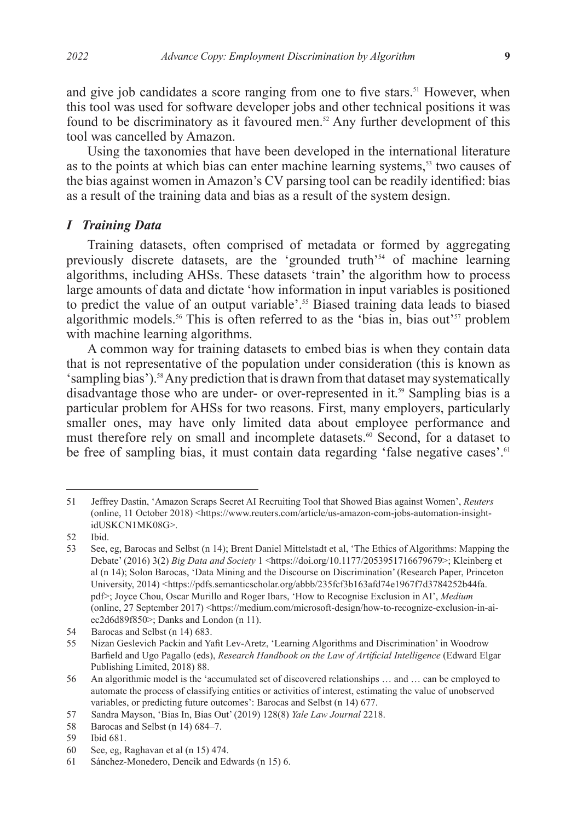and give job candidates a score ranging from one to five stars.<sup>51</sup> However, when this tool was used for software developer jobs and other technical positions it was found to be discriminatory as it favoured men.<sup>52</sup> Any further development of this tool was cancelled by Amazon.

Using the taxonomies that have been developed in the international literature as to the points at which bias can enter machine learning systems,<sup>53</sup> two causes of the bias against women in Amazon's CV parsing tool can be readily identified: bias as a result of the training data and bias as a result of the system design.

#### *I Training Data*

Training datasets, often comprised of metadata or formed by aggregating previously discrete datasets, are the 'grounded truth'54 of machine learning algorithms, including AHSs. These datasets 'train' the algorithm how to process large amounts of data and dictate 'how information in input variables is positioned to predict the value of an output variable'.<sup>55</sup> Biased training data leads to biased algorithmic models.<sup>56</sup> This is often referred to as the 'bias in, bias out'<sup>57</sup> problem with machine learning algorithms.

A common way for training datasets to embed bias is when they contain data that is not representative of the population under consideration (this is known as 'sampling bias').58 Any prediction that is drawn from that dataset may systematically disadvantage those who are under- or over-represented in it.<sup>59</sup> Sampling bias is a particular problem for AHSs for two reasons. First, many employers, particularly smaller ones, may have only limited data about employee performance and must therefore rely on small and incomplete datasets.<sup>60</sup> Second, for a dataset to be free of sampling bias, it must contain data regarding 'false negative cases'.<sup>61</sup>

<sup>51</sup> Jeffrey Dastin, 'Amazon Scraps Secret AI Recruiting Tool that Showed Bias against Women', *Reuters* (online, 11 October 2018) <https://www.reuters.com/article/us-amazon-com-jobs-automation-insightidUSKCN1MK08G>.

<sup>52</sup> Ibid.

<sup>53</sup> See, eg, Barocas and Selbst (n 14); Brent Daniel Mittelstadt et al, 'The Ethics of Algorithms: Mapping the Debate' (2016) 3(2) *Big Data and Society* 1 <https://doi.org/10.1177/2053951716679679>; Kleinberg et al (n 14); Solon Barocas, 'Data Mining and the Discourse on Discrimination' (Research Paper, Princeton University, 2014) <https://pdfs.semanticscholar.org/abbb/235fcf3b163afd74e1967f7d3784252b44fa. pdf>; Joyce Chou, Oscar Murillo and Roger Ibars, 'How to Recognise Exclusion in AI', *Medium* (online, 27 September 2017) <https://medium.com/microsoft-design/how-to-recognize-exclusion-in-aiec2d6d89f850>; Danks and London (n 11).

<sup>54</sup> Barocas and Selbst (n 14) 683.<br>55 Nizan Geslevich Packin and Y

<sup>55</sup> Nizan Geslevich Packin and Yafit Lev-Aretz, 'Learning Algorithms and Discrimination' in Woodrow Barfield and Ugo Pagallo (eds), *Research Handbook on the Law of Artificial Intelligence* (Edward Elgar Publishing Limited, 2018) 88.

<sup>56</sup> An algorithmic model is the 'accumulated set of discovered relationships … and … can be employed to automate the process of classifying entities or activities of interest, estimating the value of unobserved variables, or predicting future outcomes': Barocas and Selbst (n 14) 677.

<sup>57</sup> Sandra Mayson, 'Bias In, Bias Out' (2019) 128(8) *Yale Law Journal* 2218.

<sup>58</sup> Barocas and Selbst (n 14) 684–7.

<sup>59</sup> Ibid 681.

<sup>60</sup> See, eg, Raghavan et al (n 15) 474.

<sup>61</sup> Sánchez-Monedero, Dencik and Edwards (n 15) 6.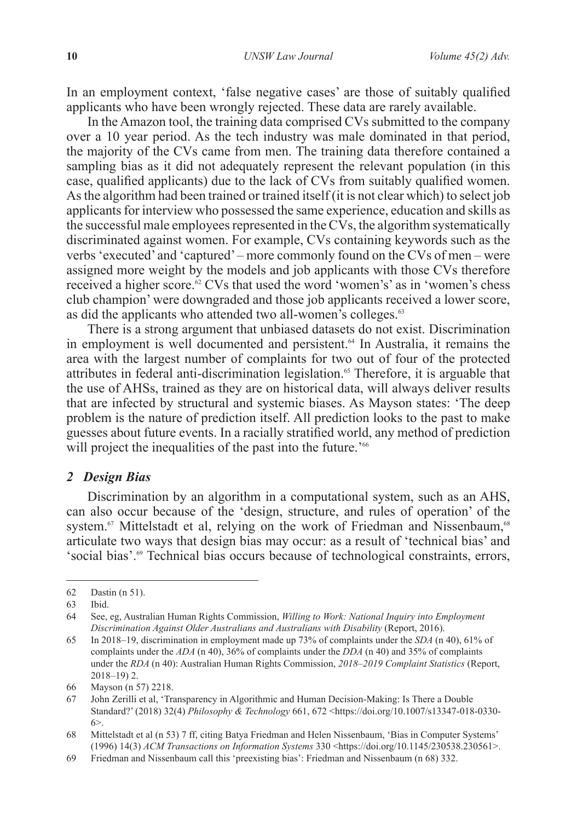In an employment context, 'false negative cases' are those of suitably qualified applicants who have been wrongly rejected. These data are rarely available.

In the Amazon tool, the training data comprised CVs submitted to the company over a 10 year period. As the tech industry was male dominated in that period, the majority of the CVs came from men. The training data therefore contained a sampling bias as it did not adequately represent the relevant population (in this case, qualified applicants) due to the lack of CVs from suitably qualified women. As the algorithm had been trained or trained itself (it is not clear which) to select job applicants for interview who possessed the same experience, education and skills as the successful male employees represented in the CVs, the algorithm systematically discriminated against women. For example, CVs containing keywords such as the verbs 'executed' and 'captured' – more commonly found on the CVs of men – were assigned more weight by the models and job applicants with those CVs therefore received a higher score.<sup> $62$ </sup> CVs that used the word 'women's' as in 'women's chess club champion' were downgraded and those job applicants received a lower score, as did the applicants who attended two all-women's colleges.<sup>63</sup>

There is a strong argument that unbiased datasets do not exist. Discrimination in employment is well documented and persistent.<sup>64</sup> In Australia, it remains the area with the largest number of complaints for two out of four of the protected attributes in federal anti-discrimination legislation.<sup>65</sup> Therefore, it is arguable that the use of AHSs, trained as they are on historical data, will always deliver results that are infected by structural and systemic biases. As Mayson states: 'The deep problem is the nature of prediction itself. All prediction looks to the past to make guesses about future events. In a racially stratified world, any method of prediction will project the inequalities of the past into the future.<sup>266</sup>

#### *2 Design Bias*

Discrimination by an algorithm in a computational system, such as an AHS, can also occur because of the 'design, structure, and rules of operation' of the system.<sup>67</sup> Mittelstadt et al, relying on the work of Friedman and Nissenbaum,<sup>68</sup> articulate two ways that design bias may occur: as a result of 'technical bias' and 'social bias'.69 Technical bias occurs because of technological constraints, errors,

<sup>62</sup> Dastin (n 51).

<sup>63</sup> Ibid.

<sup>64</sup> See, eg, Australian Human Rights Commission, *Willing to Work: National Inquiry into Employment Discrimination Against Older Australians and Australians with Disability* (Report, 2016).

<sup>65</sup> In 2018–19, discrimination in employment made up 73% of complaints under the *SDA* (n 40), 61% of complaints under the *ADA* (n 40), 36% of complaints under the *DDA* (n 40) and 35% of complaints under the *RDA* (n 40): Australian Human Rights Commission, *2018–2019 Complaint Statistics* (Report, 2018–19) 2.

<sup>66</sup> Mayson (n 57) 2218.

<sup>67</sup> John Zerilli et al, 'Transparency in Algorithmic and Human Decision-Making: Is There a Double Standard?' (2018) 32(4) *Philosophy & Technology* 661, 672 <https://doi.org/10.1007/s13347-018-0330-  $6<sub>2</sub>$ 

<sup>68</sup> Mittelstadt et al (n 53) 7 ff, citing Batya Friedman and Helen Nissenbaum, 'Bias in Computer Systems' (1996) 14(3) *ACM Transactions on Information Systems* 330 <https://doi.org/10.1145/230538.230561>.

<sup>69</sup> Friedman and Nissenbaum call this 'preexisting bias': Friedman and Nissenbaum (n 68) 332.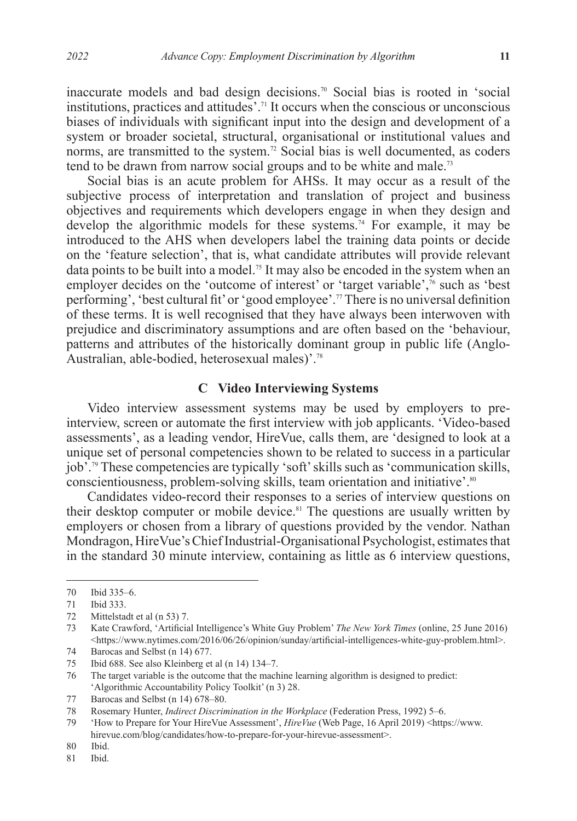inaccurate models and bad design decisions.70 Social bias is rooted in 'social institutions, practices and attitudes'.71 It occurs when the conscious or unconscious biases of individuals with significant input into the design and development of a system or broader societal, structural, organisational or institutional values and norms, are transmitted to the system.<sup>72</sup> Social bias is well documented, as coders tend to be drawn from narrow social groups and to be white and male.<sup>73</sup>

Social bias is an acute problem for AHSs. It may occur as a result of the subjective process of interpretation and translation of project and business objectives and requirements which developers engage in when they design and develop the algorithmic models for these systems.74 For example, it may be introduced to the AHS when developers label the training data points or decide on the 'feature selection', that is, what candidate attributes will provide relevant data points to be built into a model.<sup>75</sup> It may also be encoded in the system when an employer decides on the 'outcome of interest' or 'target variable', $\frac{7}{6}$  such as 'best performing', 'best cultural fit' or 'good employee'.77 There is no universal definition of these terms. It is well recognised that they have always been interwoven with prejudice and discriminatory assumptions and are often based on the 'behaviour, patterns and attributes of the historically dominant group in public life (Anglo-Australian, able-bodied, heterosexual males)'.<sup>78</sup>

### **C Video Interviewing Systems**

Video interview assessment systems may be used by employers to preinterview, screen or automate the first interview with job applicants. 'Video-based assessments', as a leading vendor, HireVue, calls them, are 'designed to look at a unique set of personal competencies shown to be related to success in a particular job'.79 These competencies are typically 'soft' skills such as 'communication skills, conscientiousness, problem-solving skills, team orientation and initiative'.<sup>80</sup>

Candidates video-record their responses to a series of interview questions on their desktop computer or mobile device.<sup>81</sup> The questions are usually written by employers or chosen from a library of questions provided by the vendor. Nathan Mondragon, HireVue's Chief Industrial-Organisational Psychologist, estimates that in the standard 30 minute interview, containing as little as 6 interview questions,

<sup>70</sup> Ibid 335–6.

<sup>71</sup> Ibid 333.

<sup>72</sup> Mittelstadt et al (n 53) 7.

<sup>73</sup> Kate Crawford, 'Artificial Intelligence's White Guy Problem' *The New York Times* (online, 25 June 2016) <https://www.nytimes.com/2016/06/26/opinion/sunday/artificial-intelligences-white-guy-problem.html>.

<sup>74</sup> Barocas and Selbst (n 14) 677.<br>75 Ibid 688. See also Kleinberg et

<sup>75</sup> Ibid 688. See also Kleinberg et al (n 14) 134–7.

<sup>76</sup> The target variable is the outcome that the machine learning algorithm is designed to predict: 'Algorithmic Accountability Policy Toolkit' (n 3) 28.

<sup>77</sup> Barocas and Selbst (n 14) 678-80.

<sup>78</sup> Rosemary Hunter, *Indirect Discrimination in the Workplace* (Federation Press, 1992) 5–6.

<sup>79</sup> 'How to Prepare for Your HireVue Assessment', *HireVue* (Web Page, 16 April 2019) <https://www. hirevue.com/blog/candidates/how-to-prepare-for-your-hirevue-assessment>.

<sup>80</sup> Ibid.

<sup>81</sup> Ibid.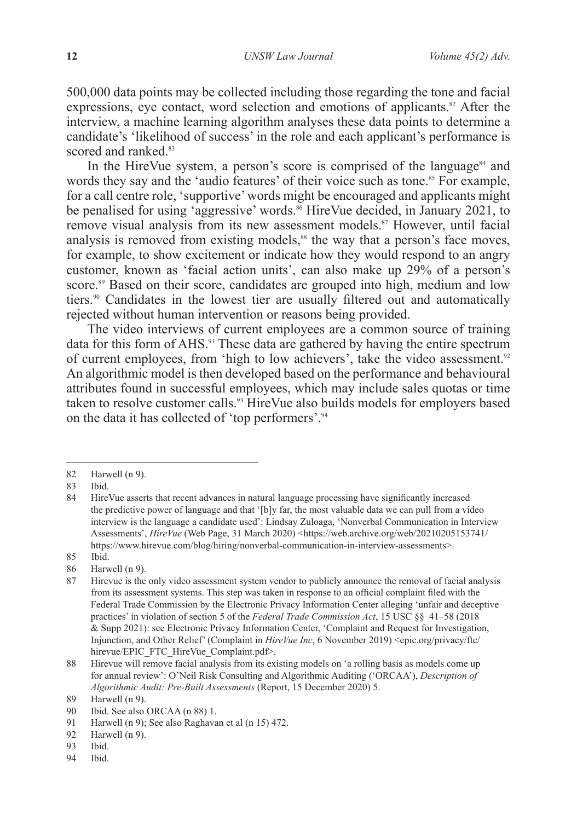500,000 data points may be collected including those regarding the tone and facial expressions, eye contact, word selection and emotions of applicants.<sup>82</sup> After the interview, a machine learning algorithm analyses these data points to determine a candidate's 'likelihood of success' in the role and each applicant's performance is scored and ranked<sup>83</sup>

In the HireVue system, a person's score is comprised of the language $^{84}$  and words they say and the 'audio features' of their voice such as tone.<sup>85</sup> For example, for a call centre role, 'supportive' words might be encouraged and applicants might be penalised for using 'aggressive' words.<sup>86</sup> HireVue decided, in January 2021, to remove visual analysis from its new assessment models.<sup>87</sup> However, until facial analysis is removed from existing models,<sup>88</sup> the way that a person's face moves, for example, to show excitement or indicate how they would respond to an angry customer, known as 'facial action units', can also make up 29% of a person's score.<sup>89</sup> Based on their score, candidates are grouped into high, medium and low tiers.<sup>90</sup> Candidates in the lowest tier are usually filtered out and automatically rejected without human intervention or reasons being provided.

The video interviews of current employees are a common source of training data for this form of AHS.<sup>91</sup> These data are gathered by having the entire spectrum of current employees, from 'high to low achievers', take the video assessment.<sup>92</sup> An algorithmic model is then developed based on the performance and behavioural attributes found in successful employees, which may include sales quotas or time taken to resolve customer calls.<sup>93</sup> HireVue also builds models for employers based on the data it has collected of 'top performers'.<sup>94</sup>

94 Ibid.

<sup>82</sup> Harwell (n 9).

<sup>83</sup> Ibid.

<sup>84</sup> HireVue asserts that recent advances in natural language processing have significantly increased the predictive power of language and that '[b]y far, the most valuable data we can pull from a video interview is the language a candidate used': Lindsay Zuloaga, 'Nonverbal Communication in Interview Assessments', *HireVue* (Web Page, 31 March 2020) <https://web.archive.org/web/20210205153741/ https://www.hirevue.com/blog/hiring/nonverbal-communication-in-interview-assessments>.

<sup>85</sup> Ibid.

<sup>86</sup> Harwell (n 9).

<sup>87</sup> Hirevue is the only video assessment system vendor to publicly announce the removal of facial analysis from its assessment systems. This step was taken in response to an official complaint filed with the Federal Trade Commission by the Electronic Privacy Information Center alleging 'unfair and deceptive practices' in violation of section 5 of the *Federal Trade Commission Act*, 15 USC §§ 41–58 (2018 & Supp 2021): see Electronic Privacy Information Center, 'Complaint and Request for Investigation, Injunction, and Other Relief' (Complaint in *HireVue Inc*, 6 November 2019) <epic.org/privacy/ftc/ hirevue/EPIC\_FTC\_HireVue\_Complaint.pdf>.

<sup>88</sup> Hirevue will remove facial analysis from its existing models on 'a rolling basis as models come up for annual review': O'Neil Risk Consulting and Algorithmic Auditing ('ORCAA'), *Description of Algorithmic Audit: Pre-Built Assessments* (Report, 15 December 2020) 5.

<sup>89</sup> Harwell (n 9).

<sup>90</sup> Ibid. See also ORCAA (n 88) 1.<br>91 Harwell (n 9): See also Raghava

Harwell (n 9); See also Raghavan et al (n 15) 472.

<sup>92</sup> Harwell (n 9).

<sup>93</sup> Ibid.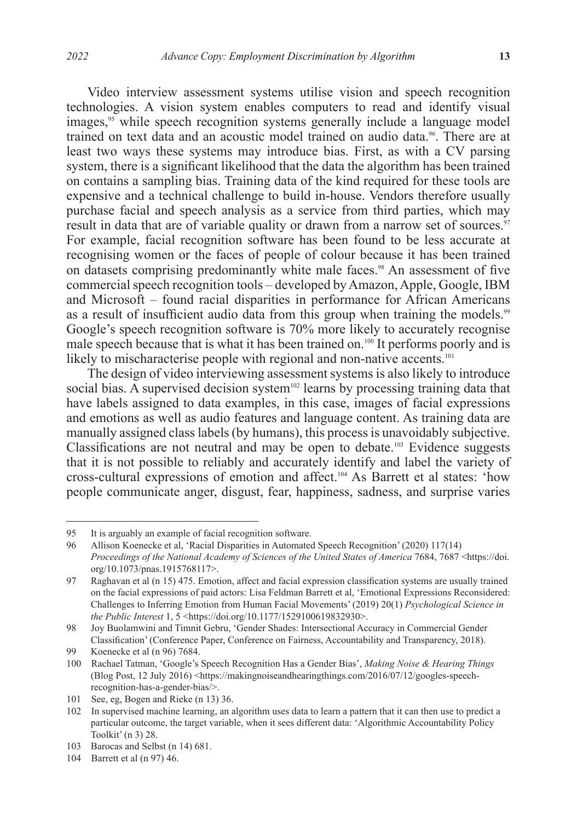Video interview assessment systems utilise vision and speech recognition technologies. A vision system enables computers to read and identify visual images,<sup>95</sup> while speech recognition systems generally include a language model trained on text data and an acoustic model trained on audio data.<sup>96</sup>. There are at least two ways these systems may introduce bias. First, as with a CV parsing system, there is a significant likelihood that the data the algorithm has been trained on contains a sampling bias. Training data of the kind required for these tools are expensive and a technical challenge to build in-house. Vendors therefore usually purchase facial and speech analysis as a service from third parties, which may result in data that are of variable quality or drawn from a narrow set of sources.<sup>97</sup> For example, facial recognition software has been found to be less accurate at recognising women or the faces of people of colour because it has been trained on datasets comprising predominantly white male faces.<sup>98</sup> An assessment of five commercial speech recognition tools – developed by Amazon, Apple, Google, IBM and Microsoft – found racial disparities in performance for African Americans as a result of insufficient audio data from this group when training the models.<sup>99</sup> Google's speech recognition software is 70% more likely to accurately recognise male speech because that is what it has been trained on.100 It performs poorly and is likely to mischaracterise people with regional and non-native accents.<sup>101</sup>

The design of video interviewing assessment systems is also likely to introduce social bias. A supervised decision system<sup>102</sup> learns by processing training data that have labels assigned to data examples, in this case, images of facial expressions and emotions as well as audio features and language content. As training data are manually assigned class labels (by humans), this process is unavoidably subjective. Classifications are not neutral and may be open to debate.103 Evidence suggests that it is not possible to reliably and accurately identify and label the variety of cross-cultural expressions of emotion and affect.104 As Barrett et al states: 'how people communicate anger, disgust, fear, happiness, sadness, and surprise varies

<sup>95</sup> It is arguably an example of facial recognition software.<br>96 Allison Koenecke et al. 'Racial Disparities in Automate

Allison Koenecke et al, 'Racial Disparities in Automated Speech Recognition' (2020) 117(14) *Proceedings of the National Academy of Sciences of the United States of America* 7684, 7687 <https://doi. org/10.1073/pnas.1915768117>.

<sup>97</sup> Raghavan et al (n 15) 475. Emotion, affect and facial expression classification systems are usually trained on the facial expressions of paid actors: Lisa Feldman Barrett et al, 'Emotional Expressions Reconsidered: Challenges to Inferring Emotion from Human Facial Movements' (2019) 20(1) *Psychological Science in the Public Interest* 1, 5 <https://doi.org/10.1177/1529100619832930>.

<sup>98</sup> Joy Buolamwini and Timnit Gebru, 'Gender Shades: Intersectional Accuracy in Commercial Gender Classification' (Conference Paper, Conference on Fairness, Accountability and Transparency, 2018).

<sup>99</sup> Koenecke et al (n 96) 7684.

<sup>100</sup> Rachael Tatman, 'Google's Speech Recognition Has a Gender Bias', *Making Noise & Hearing Things* (Blog Post, 12 July 2016) <https://makingnoiseandhearingthings.com/2016/07/12/googles-speechrecognition-has-a-gender-bias/>.

<sup>101</sup> See, eg, Bogen and Rieke (n 13) 36.

<sup>102</sup> In supervised machine learning, an algorithm uses data to learn a pattern that it can then use to predict a particular outcome, the target variable, when it sees different data: 'Algorithmic Accountability Policy Toolkit' (n 3) 28.

<sup>103</sup> Barocas and Selbst (n 14) 681.

<sup>104</sup> Barrett et al (n 97) 46.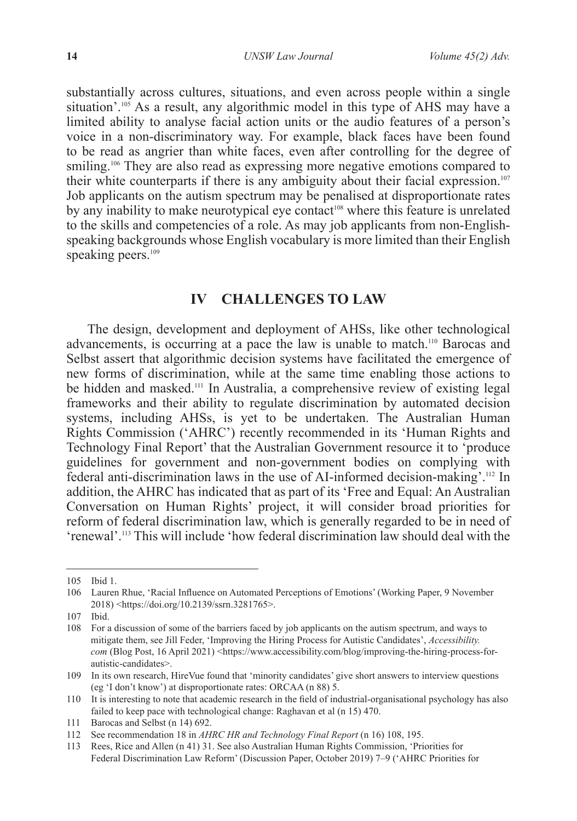substantially across cultures, situations, and even across people within a single situation'.<sup>105</sup> As a result, any algorithmic model in this type of AHS may have a limited ability to analyse facial action units or the audio features of a person's voice in a non-discriminatory way. For example, black faces have been found to be read as angrier than white faces, even after controlling for the degree of smiling.<sup>106</sup> They are also read as expressing more negative emotions compared to their white counterparts if there is any ambiguity about their facial expression.<sup>107</sup> Job applicants on the autism spectrum may be penalised at disproportionate rates by any inability to make neurotypical eye contact<sup>108</sup> where this feature is unrelated to the skills and competencies of a role. As may job applicants from non-Englishspeaking backgrounds whose English vocabulary is more limited than their English speaking peers.<sup>109</sup>

### **IV CHALLENGES TO LAW**

The design, development and deployment of AHSs, like other technological advancements, is occurring at a pace the law is unable to match.110 Barocas and Selbst assert that algorithmic decision systems have facilitated the emergence of new forms of discrimination, while at the same time enabling those actions to be hidden and masked.111 In Australia, a comprehensive review of existing legal frameworks and their ability to regulate discrimination by automated decision systems, including AHSs, is yet to be undertaken. The Australian Human Rights Commission ('AHRC') recently recommended in its 'Human Rights and Technology Final Report' that the Australian Government resource it to 'produce guidelines for government and non-government bodies on complying with federal anti-discrimination laws in the use of AI-informed decision-making'.112 In addition, the AHRC has indicated that as part of its 'Free and Equal: An Australian Conversation on Human Rights' project, it will consider broad priorities for reform of federal discrimination law, which is generally regarded to be in need of 'renewal'.113 This will include 'how federal discrimination law should deal with the

<sup>105</sup> Ibid 1.

<sup>106</sup> Lauren Rhue, 'Racial Influence on Automated Perceptions of Emotions' (Working Paper, 9 November 2018) <https://doi.org/10.2139/ssrn.3281765>.

<sup>107</sup> Ibid.

<sup>108</sup> For a discussion of some of the barriers faced by job applicants on the autism spectrum, and ways to mitigate them, see Jill Feder, 'Improving the Hiring Process for Autistic Candidates', *Accessibility. com* (Blog Post, 16 April 2021) <https://www.accessibility.com/blog/improving-the-hiring-process-forautistic-candidates>.

<sup>109</sup> In its own research, HireVue found that 'minority candidates' give short answers to interview questions (eg 'I don't know') at disproportionate rates: ORCAA (n 88) 5.

<sup>110</sup> It is interesting to note that academic research in the field of industrial-organisational psychology has also failed to keep pace with technological change: Raghavan et al (n 15) 470.

<sup>111</sup> Barocas and Selbst (n 14) 692.

<sup>112</sup> See recommendation 18 in *AHRC HR and Technology Final Report* (n 16) 108, 195.

<sup>113</sup> Rees, Rice and Allen (n 41) 31. See also Australian Human Rights Commission, 'Priorities for Federal Discrimination Law Reform' (Discussion Paper, October 2019) 7–9 ('AHRC Priorities for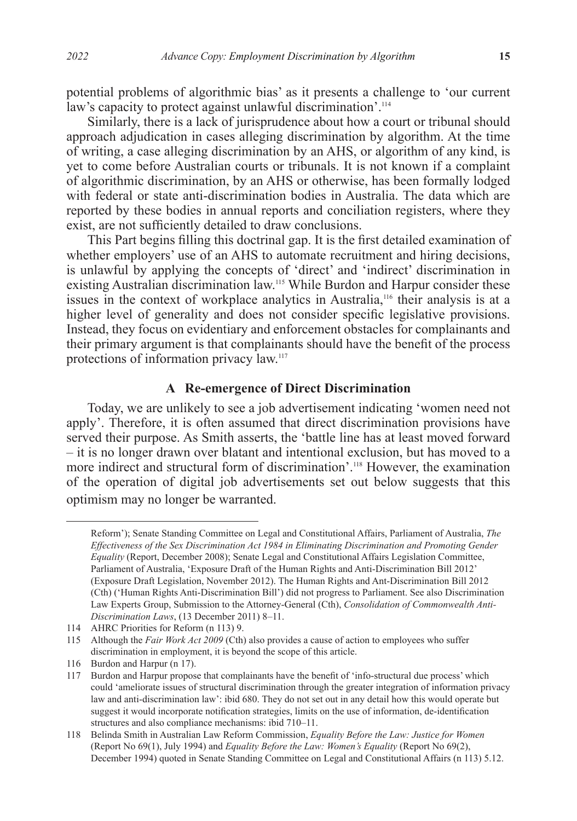potential problems of algorithmic bias' as it presents a challenge to 'our current law's capacity to protect against unlawful discrimination'.<sup>114</sup>

Similarly, there is a lack of jurisprudence about how a court or tribunal should approach adjudication in cases alleging discrimination by algorithm. At the time of writing, a case alleging discrimination by an AHS, or algorithm of any kind, is yet to come before Australian courts or tribunals. It is not known if a complaint of algorithmic discrimination, by an AHS or otherwise, has been formally lodged with federal or state anti-discrimination bodies in Australia. The data which are reported by these bodies in annual reports and conciliation registers, where they exist, are not sufficiently detailed to draw conclusions.

This Part begins filling this doctrinal gap. It is the first detailed examination of whether employers' use of an AHS to automate recruitment and hiring decisions, is unlawful by applying the concepts of 'direct' and 'indirect' discrimination in existing Australian discrimination law.<sup>115</sup> While Burdon and Harpur consider these issues in the context of workplace analytics in Australia,116 their analysis is at a higher level of generality and does not consider specific legislative provisions. Instead, they focus on evidentiary and enforcement obstacles for complainants and their primary argument is that complainants should have the benefit of the process protections of information privacy law.117

### **A Re-emergence of Direct Discrimination**

Today, we are unlikely to see a job advertisement indicating 'women need not apply'. Therefore, it is often assumed that direct discrimination provisions have served their purpose. As Smith asserts, the 'battle line has at least moved forward – it is no longer drawn over blatant and intentional exclusion, but has moved to a more indirect and structural form of discrimination'.118 However, the examination of the operation of digital job advertisements set out below suggests that this optimism may no longer be warranted.

Reform'); Senate Standing Committee on Legal and Constitutional Affairs, Parliament of Australia, *The Effectiveness of the Sex Discrimination Act 1984 in Eliminating Discrimination and Promoting Gender Equality* (Report, December 2008); Senate Legal and Constitutional Affairs Legislation Committee, Parliament of Australia, 'Exposure Draft of the Human Rights and Anti-Discrimination Bill 2012' (Exposure Draft Legislation, November 2012). The Human Rights and Ant-Discrimination Bill 2012 (Cth) ('Human Rights Anti-Discrimination Bill') did not progress to Parliament. See also Discrimination Law Experts Group, Submission to the Attorney-General (Cth), *Consolidation of Commonwealth Anti-Discrimination Laws*, (13 December 2011) 8–11.

<sup>114</sup> AHRC Priorities for Reform (n 113) 9.

<sup>115</sup> Although the *Fair Work Act 2009* (Cth) also provides a cause of action to employees who suffer discrimination in employment, it is beyond the scope of this article.

<sup>116</sup> Burdon and Harpur (n 17).

<sup>117</sup> Burdon and Harpur propose that complainants have the benefit of 'info-structural due process' which could 'ameliorate issues of structural discrimination through the greater integration of information privacy law and anti-discrimination law': ibid 680. They do not set out in any detail how this would operate but suggest it would incorporate notification strategies, limits on the use of information, de-identification structures and also compliance mechanisms: ibid 710–11.

<sup>118</sup> Belinda Smith in Australian Law Reform Commission, *Equality Before the Law: Justice for Women* (Report No 69(1), July 1994) and *Equality Before the Law: Women's Equality* (Report No 69(2), December 1994) quoted in Senate Standing Committee on Legal and Constitutional Affairs (n 113) 5.12.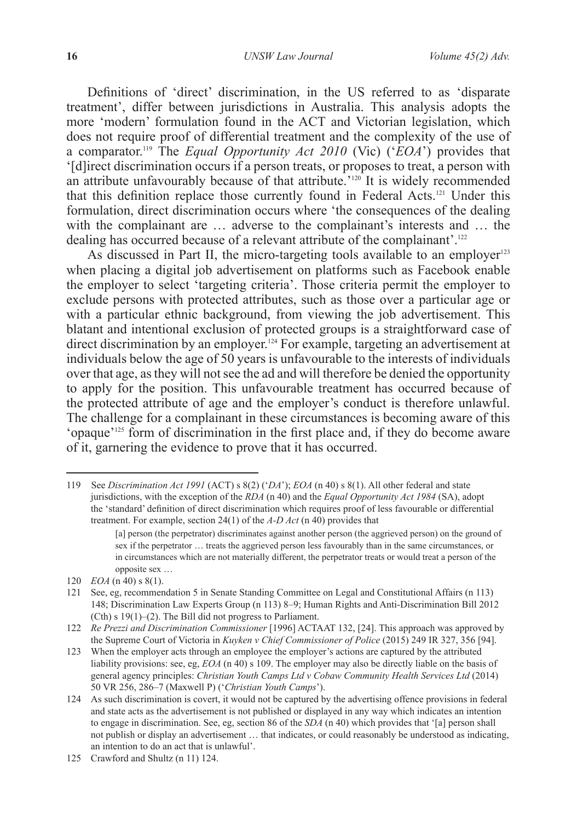Definitions of 'direct' discrimination, in the US referred to as 'disparate treatment', differ between jurisdictions in Australia. This analysis adopts the more 'modern' formulation found in the ACT and Victorian legislation, which does not require proof of differential treatment and the complexity of the use of a comparator.119 The *Equal Opportunity Act 2010* (Vic) ('*EOA*') provides that '[d]irect discrimination occurs if a person treats, or proposes to treat, a person with an attribute unfavourably because of that attribute.<sup>'120</sup> It is widely recommended that this definition replace those currently found in Federal Acts.121 Under this formulation, direct discrimination occurs where 'the consequences of the dealing with the complainant are ... adverse to the complainant's interests and ... the dealing has occurred because of a relevant attribute of the complainant'.<sup>122</sup>

As discussed in Part II, the micro-targeting tools available to an employer<sup>123</sup> when placing a digital job advertisement on platforms such as Facebook enable the employer to select 'targeting criteria'. Those criteria permit the employer to exclude persons with protected attributes, such as those over a particular age or with a particular ethnic background, from viewing the job advertisement. This blatant and intentional exclusion of protected groups is a straightforward case of direct discrimination by an employer.<sup>124</sup> For example, targeting an advertisement at individuals below the age of  $50$  years is unfavourable to the interests of individuals over that age, as they will not see the ad and will therefore be denied the opportunity to apply for the position. This unfavourable treatment has occurred because of the protected attribute of age and the employer's conduct is therefore unlawful. The challenge for a complainant in these circumstances is becoming aware of this 'opaque'125 form of discrimination in the first place and, if they do become aware of it, garnering the evidence to prove that it has occurred.

<sup>119</sup> See *Discrimination Act 1991* (ACT) s 8(2) ('*DA*'); *EOA* (n 40) s 8(1). All other federal and state jurisdictions, with the exception of the *RDA* (n 40) and the *Equal Opportunity Act 1984* (SA), adopt the 'standard' definition of direct discrimination which requires proof of less favourable or differential treatment. For example, section 24(1) of the *A-D Act* (n 40) provides that

<sup>[</sup>a] person (the perpetrator) discriminates against another person (the aggrieved person) on the ground of sex if the perpetrator … treats the aggrieved person less favourably than in the same circumstances, or in circumstances which are not materially different, the perpetrator treats or would treat a person of the opposite sex …

<sup>120</sup> *EOA* (n 40) s 8(1).

<sup>121</sup> See, eg, recommendation 5 in Senate Standing Committee on Legal and Constitutional Affairs (n 113) 148; Discrimination Law Experts Group (n 113) 8–9; Human Rights and Anti-Discrimination Bill 2012 (Cth) s 19(1)–(2). The Bill did not progress to Parliament.

<sup>122</sup> *Re Prezzi and Discrimination Commissioner* [1996] ACTAAT 132, [24]. This approach was approved by the Supreme Court of Victoria in *Kuyken v Chief Commissioner of Police* (2015) 249 IR 327, 356 [94].

<sup>123</sup> When the employer acts through an employee the employer's actions are captured by the attributed liability provisions: see, eg, *EOA* (n 40) s 109. The employer may also be directly liable on the basis of general agency principles: *Christian Youth Camps Ltd v Cobaw Community Health Services Ltd* (2014) 50 VR 256, 286–7 (Maxwell P) ('*Christian Youth Camps*').

<sup>124</sup> As such discrimination is covert, it would not be captured by the advertising offence provisions in federal and state acts as the advertisement is not published or displayed in any way which indicates an intention to engage in discrimination. See, eg, section 86 of the *SDA* (n 40) which provides that '[a] person shall not publish or display an advertisement … that indicates, or could reasonably be understood as indicating, an intention to do an act that is unlawful'.

<sup>125</sup> Crawford and Shultz (n 11) 124.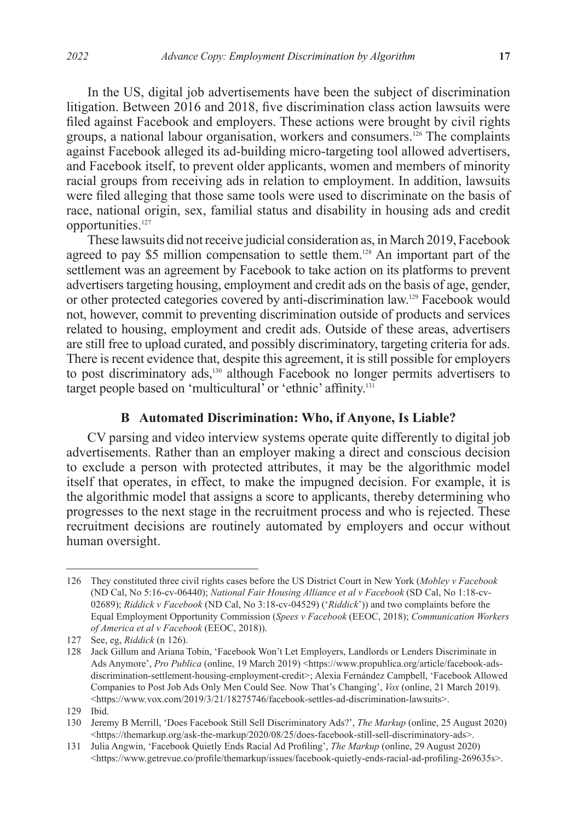In the US, digital job advertisements have been the subject of discrimination litigation. Between 2016 and 2018, five discrimination class action lawsuits were filed against Facebook and employers. These actions were brought by civil rights groups, a national labour organisation, workers and consumers.126 The complaints against Facebook alleged its ad-building micro-targeting tool allowed advertisers, and Facebook itself, to prevent older applicants, women and members of minority racial groups from receiving ads in relation to employment. In addition, lawsuits were filed alleging that those same tools were used to discriminate on the basis of race, national origin, sex, familial status and disability in housing ads and credit opportunities.<sup>127</sup>

These lawsuits did not receive judicial consideration as, in March 2019, Facebook agreed to pay \$5 million compensation to settle them.<sup>128</sup> An important part of the settlement was an agreement by Facebook to take action on its platforms to prevent advertisers targeting housing, employment and credit ads on the basis of age, gender, or other protected categories covered by anti-discrimination law.129 Facebook would not, however, commit to preventing discrimination outside of products and services related to housing, employment and credit ads. Outside of these areas, advertisers are still free to upload curated, and possibly discriminatory, targeting criteria for ads. There is recent evidence that, despite this agreement, it is still possible for employers to post discriminatory ads,130 although Facebook no longer permits advertisers to target people based on 'multicultural' or 'ethnic' affinity.<sup>131</sup>

### **B Automated Discrimination: Who, if Anyone, Is Liable?**

CV parsing and video interview systems operate quite differently to digital job advertisements. Rather than an employer making a direct and conscious decision to exclude a person with protected attributes, it may be the algorithmic model itself that operates, in effect, to make the impugned decision. For example, it is the algorithmic model that assigns a score to applicants, thereby determining who progresses to the next stage in the recruitment process and who is rejected. These recruitment decisions are routinely automated by employers and occur without human oversight.

<sup>126</sup> They constituted three civil rights cases before the US District Court in New York (*Mobley v Facebook* (ND Cal, No 5:16-cv-06440); *National Fair Housing Alliance et al v Facebook* (SD Cal, No 1:18-cv-02689); *Riddick v Facebook* (ND Cal, No 3:18-cv-04529) ('*Riddick*')) and two complaints before the Equal Employment Opportunity Commission (*Spees v Facebook* (EEOC, 2018); *Communication Workers of America et al v Facebook* (EEOC, 2018)).

<sup>127</sup> See, eg, *Riddick* (n 126).

<sup>128</sup> Jack Gillum and Ariana Tobin, 'Facebook Won't Let Employers, Landlords or Lenders Discriminate in Ads Anymore', *Pro Publica* (online, 19 March 2019) <https://www.propublica.org/article/facebook-adsdiscrimination-settlement-housing-employment-credit>; Alexia Fernández Campbell, 'Facebook Allowed Companies to Post Job Ads Only Men Could See. Now That's Changing', *Vox* (online, 21 March 2019). <https://www.vox.com/2019/3/21/18275746/facebook-settles-ad-discrimination-lawsuits>.

<sup>129</sup> Ibid.

<sup>130</sup> Jeremy B Merrill, 'Does Facebook Still Sell Discriminatory Ads?', *The Markup* (online, 25 August 2020) <https://themarkup.org/ask-the-markup/2020/08/25/does-facebook-still-sell-discriminatory-ads>.

<sup>131</sup> Julia Angwin, 'Facebook Quietly Ends Racial Ad Profiling', *The Markup* (online, 29 August 2020)  $\langle$ https://www.getrevue.co/profile/themarkup/issues/facebook-quietly-ends-racial-ad-profiling-269635s>.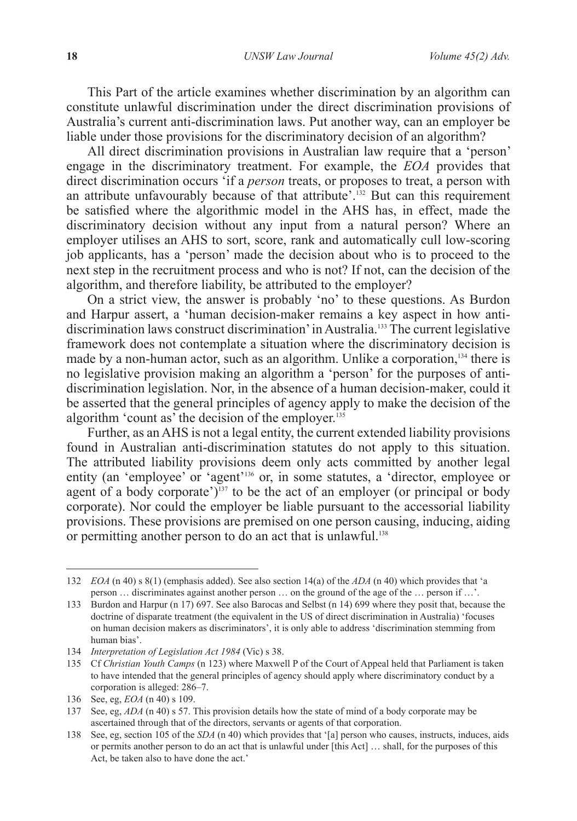This Part of the article examines whether discrimination by an algorithm can constitute unlawful discrimination under the direct discrimination provisions of Australia's current anti-discrimination laws. Put another way, can an employer be liable under those provisions for the discriminatory decision of an algorithm?

All direct discrimination provisions in Australian law require that a 'person' engage in the discriminatory treatment. For example, the *EOA* provides that direct discrimination occurs 'if a *person* treats, or proposes to treat, a person with an attribute unfavourably because of that attribute'.<sup>132</sup> But can this requirement be satisfied where the algorithmic model in the AHS has, in effect, made the discriminatory decision without any input from a natural person? Where an employer utilises an AHS to sort, score, rank and automatically cull low-scoring job applicants, has a 'person' made the decision about who is to proceed to the next step in the recruitment process and who is not? If not, can the decision of the algorithm, and therefore liability, be attributed to the employer?

On a strict view, the answer is probably 'no' to these questions. As Burdon and Harpur assert, a 'human decision-maker remains a key aspect in how antidiscrimination laws construct discrimination' in Australia.133 The current legislative framework does not contemplate a situation where the discriminatory decision is made by a non-human actor, such as an algorithm. Unlike a corporation,  $134$  there is no legislative provision making an algorithm a 'person' for the purposes of antidiscrimination legislation. Nor, in the absence of a human decision-maker, could it be asserted that the general principles of agency apply to make the decision of the algorithm 'count as' the decision of the employer. $135$ 

Further, as an AHS is not a legal entity, the current extended liability provisions found in Australian anti-discrimination statutes do not apply to this situation. The attributed liability provisions deem only acts committed by another legal entity (an 'employee' or 'agent'<sup>136</sup> or, in some statutes, a 'director, employee or agent of a body corporate')<sup>137</sup> to be the act of an employer (or principal or body corporate). Nor could the employer be liable pursuant to the accessorial liability provisions. These provisions are premised on one person causing, inducing, aiding or permitting another person to do an act that is unlawful.<sup>138</sup>

<sup>132</sup> *EOA* (n 40) s 8(1) (emphasis added). See also section 14(a) of the *ADA* (n 40) which provides that 'a person … discriminates against another person … on the ground of the age of the … person if …'.

<sup>133</sup> Burdon and Harpur (n 17) 697. See also Barocas and Selbst (n 14) 699 where they posit that, because the doctrine of disparate treatment (the equivalent in the US of direct discrimination in Australia) 'focuses on human decision makers as discriminators', it is only able to address 'discrimination stemming from human bias'.

<sup>134</sup> *Interpretation of Legislation Act 1984* (Vic) s 38.

<sup>135</sup> Cf *Christian Youth Camps* (n 123) where Maxwell P of the Court of Appeal held that Parliament is taken to have intended that the general principles of agency should apply where discriminatory conduct by a corporation is alleged: 286–7.

<sup>136</sup> See, eg, *EOA* (n 40) s 109.

<sup>137</sup> See, eg, *ADA* (n 40) s 57. This provision details how the state of mind of a body corporate may be ascertained through that of the directors, servants or agents of that corporation.

<sup>138</sup> See, eg, section 105 of the *SDA* (n 40) which provides that '[a] person who causes, instructs, induces, aids or permits another person to do an act that is unlawful under [this Act] … shall, for the purposes of this Act, be taken also to have done the act.'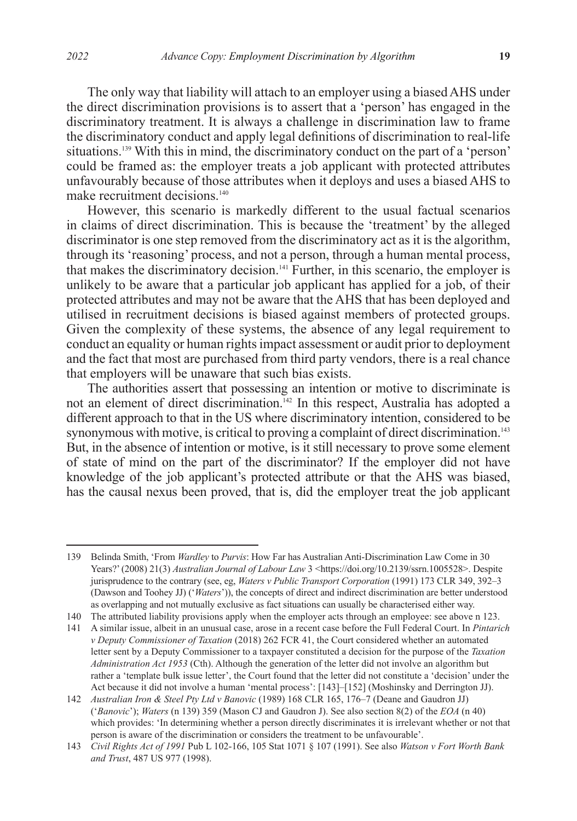The only way that liability will attach to an employer using a biased AHS under the direct discrimination provisions is to assert that a 'person' has engaged in the discriminatory treatment. It is always a challenge in discrimination law to frame the discriminatory conduct and apply legal definitions of discrimination to real-life situations.139 With this in mind, the discriminatory conduct on the part of a 'person' could be framed as: the employer treats a job applicant with protected attributes unfavourably because of those attributes when it deploys and uses a biased AHS to make recruitment decisions.<sup>140</sup>

However, this scenario is markedly different to the usual factual scenarios in claims of direct discrimination. This is because the 'treatment' by the alleged discriminator is one step removed from the discriminatory act as it is the algorithm, through its 'reasoning' process, and not a person, through a human mental process, that makes the discriminatory decision.141 Further, in this scenario, the employer is unlikely to be aware that a particular job applicant has applied for a job, of their protected attributes and may not be aware that the AHS that has been deployed and utilised in recruitment decisions is biased against members of protected groups. Given the complexity of these systems, the absence of any legal requirement to conduct an equality or human rights impact assessment or audit prior to deployment and the fact that most are purchased from third party vendors, there is a real chance that employers will be unaware that such bias exists.

The authorities assert that possessing an intention or motive to discriminate is not an element of direct discrimination.<sup>142</sup> In this respect, Australia has adopted a different approach to that in the US where discriminatory intention, considered to be synonymous with motive, is critical to proving a complaint of direct discrimination.<sup>143</sup> But, in the absence of intention or motive, is it still necessary to prove some element of state of mind on the part of the discriminator? If the employer did not have knowledge of the job applicant's protected attribute or that the AHS was biased, has the causal nexus been proved, that is, did the employer treat the job applicant

<sup>139</sup> Belinda Smith, 'From *Wardley* to *Purvis*: How Far has Australian Anti-Discrimination Law Come in 30 Years?' (2008) 21(3) *Australian Journal of Labour Law* 3 <https://doi.org/10.2139/ssrn.1005528>. Despite jurisprudence to the contrary (see, eg, *Waters v Public Transport Corporation* (1991) 173 CLR 349, 392–3 (Dawson and Toohey JJ) ('*Waters*')), the concepts of direct and indirect discrimination are better understood as overlapping and not mutually exclusive as fact situations can usually be characterised either way.

<sup>140</sup> The attributed liability provisions apply when the employer acts through an employee: see above n 123.

<sup>141</sup> A similar issue, albeit in an unusual case, arose in a recent case before the Full Federal Court. In *Pintarich v Deputy Commissioner of Taxation* (2018) 262 FCR 41, the Court considered whether an automated letter sent by a Deputy Commissioner to a taxpayer constituted a decision for the purpose of the *Taxation Administration Act 1953* (Cth). Although the generation of the letter did not involve an algorithm but rather a 'template bulk issue letter', the Court found that the letter did not constitute a 'decision' under the Act because it did not involve a human 'mental process': [143]–[152] (Moshinsky and Derrington JJ).

<sup>142</sup> *Australian Iron & Steel Pty Ltd v Banovic* (1989) 168 CLR 165, 176–7 (Deane and Gaudron JJ) ('*Banovic*'); *Waters* (n 139) 359 (Mason CJ and Gaudron J). See also section 8(2) of the *EOA* (n 40) which provides: 'In determining whether a person directly discriminates it is irrelevant whether or not that person is aware of the discrimination or considers the treatment to be unfavourable'.

<sup>143</sup> *Civil Rights Act of 1991* Pub L 102-166, 105 Stat 1071 § 107 (1991). See also *Watson v Fort Worth Bank and Trust*, 487 US 977 (1998).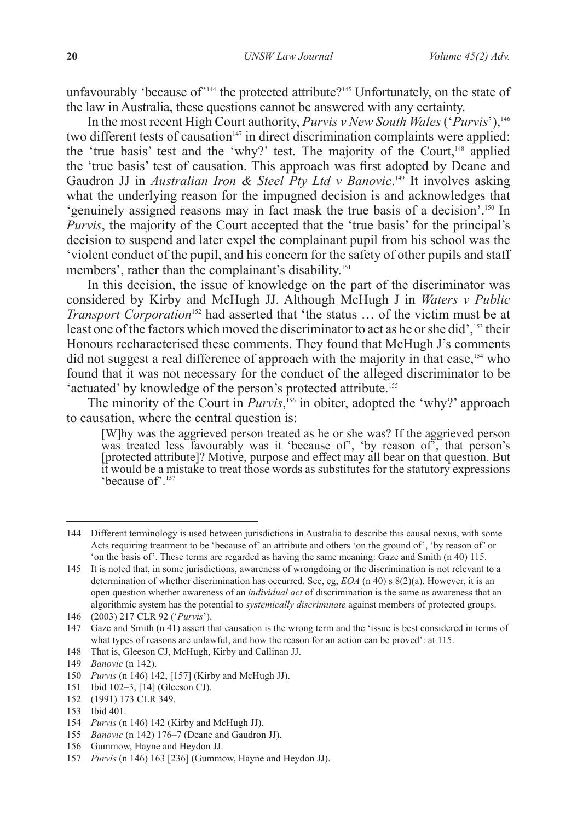unfavourably 'because of'<sup>144</sup> the protected attribute?<sup>145</sup> Unfortunately, on the state of the law in Australia, these questions cannot be answered with any certainty.

In the most recent High Court authority, *Purvis v New South Wales* ('*Purvis*'),146 two different tests of causation<sup>147</sup> in direct discrimination complaints were applied: the 'true basis' test and the 'why?' test. The majority of the Court, $148$  applied the 'true basis' test of causation. This approach was first adopted by Deane and Gaudron JJ in *Australian Iron & Steel Pty Ltd v Banovic*.<sup>149</sup> It involves asking what the underlying reason for the impugned decision is and acknowledges that 'genuinely assigned reasons may in fact mask the true basis of a decision'.<sup>150</sup> In *Purvis*, the majority of the Court accepted that the 'true basis' for the principal's decision to suspend and later expel the complainant pupil from his school was the 'violent conduct of the pupil, and his concern for the safety of other pupils and staff members', rather than the complainant's disability.<sup>151</sup>

In this decision, the issue of knowledge on the part of the discriminator was considered by Kirby and McHugh JJ. Although McHugh J in *Waters v Public Transport Corporation*<sup>152</sup> had asserted that 'the status ... of the victim must be at least one of the factors which moved the discriminator to act as he or she did',<sup>153</sup> their Honours recharacterised these comments. They found that McHugh J's comments did not suggest a real difference of approach with the majority in that case,<sup>154</sup> who found that it was not necessary for the conduct of the alleged discriminator to be 'actuated' by knowledge of the person's protected attribute.<sup>155</sup>

The minority of the Court in *Purvis*, 156 in obiter, adopted the 'why?' approach to causation, where the central question is:

[W]hy was the aggrieved person treated as he or she was? If the aggrieved person was treated less favourably was it 'because of', 'by reason of', that person's [protected attribute]? Motive, purpose and effect may all bear on that question. But it would be a mistake to treat those words as substitutes for the statutory expressions 'because of'.157

<sup>144</sup> Different terminology is used between jurisdictions in Australia to describe this causal nexus, with some Acts requiring treatment to be 'because of' an attribute and others 'on the ground of', 'by reason of' or 'on the basis of'. These terms are regarded as having the same meaning: Gaze and Smith (n 40) 115.

<sup>145</sup> It is noted that, in some jurisdictions, awareness of wrongdoing or the discrimination is not relevant to a determination of whether discrimination has occurred. See, eg, *EOA* (n 40) s 8(2)(a). However, it is an open question whether awareness of an *individual act* of discrimination is the same as awareness that an algorithmic system has the potential to *systemically discriminate* against members of protected groups.

<sup>146</sup> (2003) 217 CLR 92 ('*Purvis*').

<sup>147</sup> Gaze and Smith (n 41) assert that causation is the wrong term and the 'issue is best considered in terms of what types of reasons are unlawful, and how the reason for an action can be proved': at 115.

<sup>148</sup> That is, Gleeson CJ, McHugh, Kirby and Callinan JJ.

<sup>149</sup> *Banovic* (n 142).

<sup>150</sup> *Purvis* (n 146) 142, [157] (Kirby and McHugh JJ).

<sup>151</sup> Ibid 102–3, [14] (Gleeson CJ).

<sup>152</sup> (1991) 173 CLR 349.

<sup>153</sup> Ibid 401.

<sup>154</sup> *Purvis* (n 146) 142 (Kirby and McHugh JJ).

<sup>155</sup> *Banovic* (n 142) 176–7 (Deane and Gaudron JJ).

<sup>156</sup> Gummow, Hayne and Heydon JJ.

<sup>157</sup> *Purvis* (n 146) 163 [236] (Gummow, Hayne and Heydon JJ).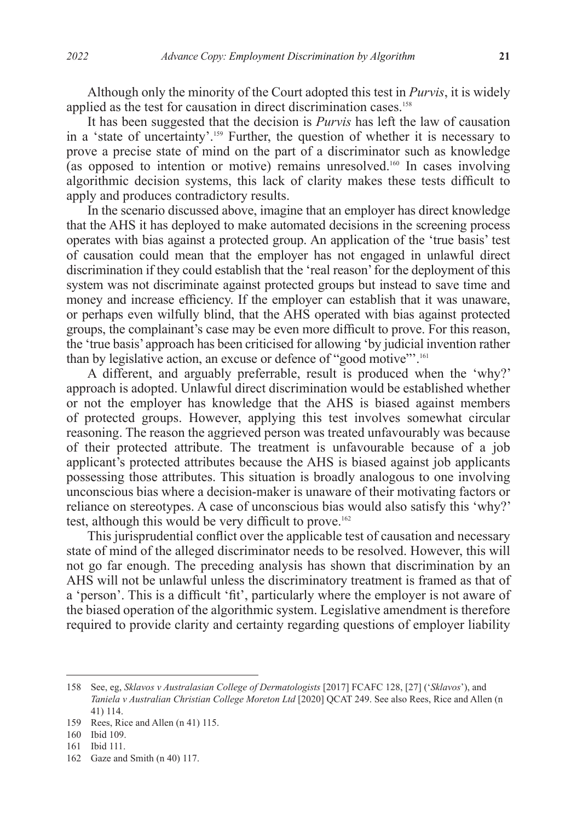Although only the minority of the Court adopted this test in *Purvis*, it is widely applied as the test for causation in direct discrimination cases.<sup>158</sup>

It has been suggested that the decision is *Purvis* has left the law of causation in a 'state of uncertainty'.159 Further, the question of whether it is necessary to prove a precise state of mind on the part of a discriminator such as knowledge (as opposed to intention or motive) remains unresolved.<sup>160</sup> In cases involving algorithmic decision systems, this lack of clarity makes these tests difficult to apply and produces contradictory results.

In the scenario discussed above, imagine that an employer has direct knowledge that the AHS it has deployed to make automated decisions in the screening process operates with bias against a protected group. An application of the 'true basis' test of causation could mean that the employer has not engaged in unlawful direct discrimination if they could establish that the 'real reason' for the deployment of this system was not discriminate against protected groups but instead to save time and money and increase efficiency. If the employer can establish that it was unaware, or perhaps even wilfully blind, that the AHS operated with bias against protected groups, the complainant's case may be even more difficult to prove. For this reason, the 'true basis' approach has been criticised for allowing 'by judicial invention rather than by legislative action, an excuse or defence of "good motive"'.<sup>161</sup>

A different, and arguably preferrable, result is produced when the 'why?' approach is adopted. Unlawful direct discrimination would be established whether or not the employer has knowledge that the AHS is biased against members of protected groups. However, applying this test involves somewhat circular reasoning. The reason the aggrieved person was treated unfavourably was because of their protected attribute. The treatment is unfavourable because of a job applicant's protected attributes because the AHS is biased against job applicants possessing those attributes. This situation is broadly analogous to one involving unconscious bias where a decision-maker is unaware of their motivating factors or reliance on stereotypes. A case of unconscious bias would also satisfy this 'why?' test, although this would be very difficult to prove.<sup>162</sup>

This jurisprudential conflict over the applicable test of causation and necessary state of mind of the alleged discriminator needs to be resolved. However, this will not go far enough. The preceding analysis has shown that discrimination by an AHS will not be unlawful unless the discriminatory treatment is framed as that of a 'person'. This is a difficult 'fit', particularly where the employer is not aware of the biased operation of the algorithmic system. Legislative amendment is therefore required to provide clarity and certainty regarding questions of employer liability

<sup>158</sup> See, eg, *Sklavos v Australasian College of Dermatologists* [2017] FCAFC 128, [27] ('*Sklavos*'), and *Taniela v Australian Christian College Moreton Ltd* [2020] QCAT 249. See also Rees, Rice and Allen (n 41) 114.

<sup>159</sup> Rees, Rice and Allen (n 41) 115.

<sup>160</sup> Ibid 109.

<sup>161</sup> Ibid 111.

<sup>162</sup> Gaze and Smith (n 40) 117.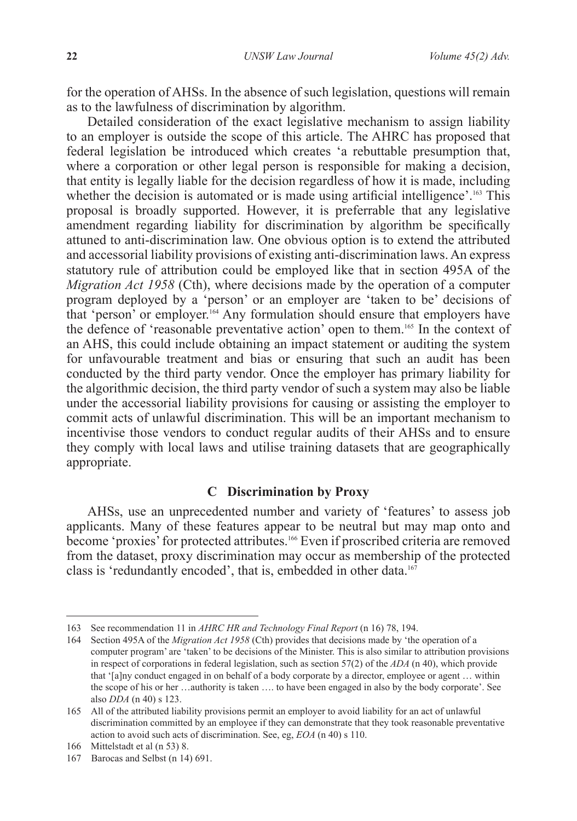for the operation of AHSs. In the absence of such legislation, questions will remain as to the lawfulness of discrimination by algorithm.

Detailed consideration of the exact legislative mechanism to assign liability to an employer is outside the scope of this article. The AHRC has proposed that federal legislation be introduced which creates 'a rebuttable presumption that, where a corporation or other legal person is responsible for making a decision, that entity is legally liable for the decision regardless of how it is made, including whether the decision is automated or is made using artificial intelligence'.<sup>163</sup> This proposal is broadly supported. However, it is preferrable that any legislative amendment regarding liability for discrimination by algorithm be specifically attuned to anti-discrimination law. One obvious option is to extend the attributed and accessorial liability provisions of existing anti-discrimination laws. An express statutory rule of attribution could be employed like that in section 495A of the *Migration Act 1958* (Cth), where decisions made by the operation of a computer program deployed by a 'person' or an employer are 'taken to be' decisions of that 'person' or employer.164 Any formulation should ensure that employers have the defence of 'reasonable preventative action' open to them.165 In the context of an AHS, this could include obtaining an impact statement or auditing the system for unfavourable treatment and bias or ensuring that such an audit has been conducted by the third party vendor. Once the employer has primary liability for the algorithmic decision, the third party vendor of such a system may also be liable under the accessorial liability provisions for causing or assisting the employer to commit acts of unlawful discrimination. This will be an important mechanism to incentivise those vendors to conduct regular audits of their AHSs and to ensure they comply with local laws and utilise training datasets that are geographically appropriate.

## **C Discrimination by Proxy**

AHSs, use an unprecedented number and variety of 'features' to assess job applicants. Many of these features appear to be neutral but may map onto and become 'proxies' for protected attributes.<sup>166</sup> Even if proscribed criteria are removed from the dataset, proxy discrimination may occur as membership of the protected class is 'redundantly encoded', that is, embedded in other data.<sup>167</sup>

<sup>163</sup> See recommendation 11 in *AHRC HR and Technology Final Report* (n 16) 78, 194.

<sup>164</sup> Section 495A of the *Migration Act 1958* (Cth) provides that decisions made by 'the operation of a computer program' are 'taken' to be decisions of the Minister. This is also similar to attribution provisions in respect of corporations in federal legislation, such as section 57(2) of the *ADA* (n 40), which provide that '[a]ny conduct engaged in on behalf of a body corporate by a director, employee or agent … within the scope of his or her …authority is taken …. to have been engaged in also by the body corporate'. See also *DDA* (n 40) s 123.

<sup>165</sup> All of the attributed liability provisions permit an employer to avoid liability for an act of unlawful discrimination committed by an employee if they can demonstrate that they took reasonable preventative action to avoid such acts of discrimination. See, eg, *EOA* (n 40) s 110.

<sup>166</sup> Mittelstadt et al (n 53) 8.

<sup>167</sup> Barocas and Selbst (n 14) 691.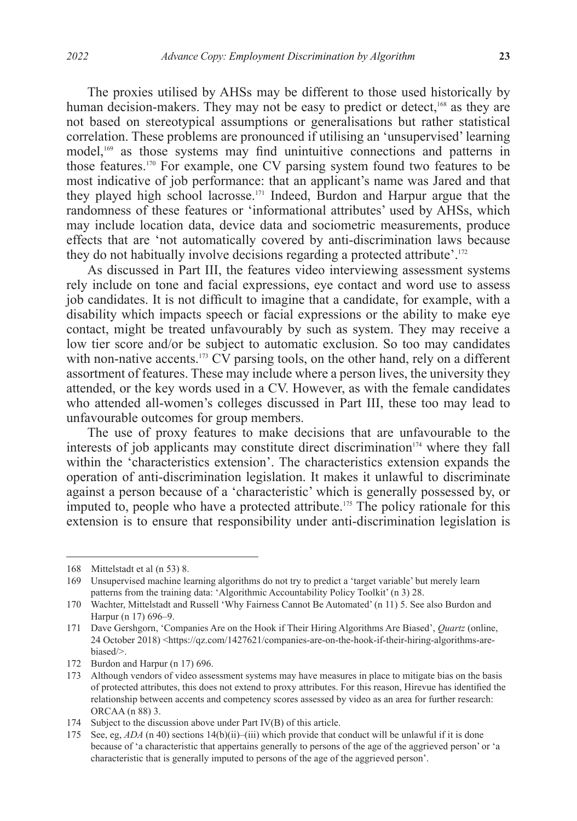The proxies utilised by AHSs may be different to those used historically by human decision-makers. They may not be easy to predict or detect,<sup>168</sup> as they are not based on stereotypical assumptions or generalisations but rather statistical correlation. These problems are pronounced if utilising an 'unsupervised' learning model,169 as those systems may find unintuitive connections and patterns in those features.170 For example, one CV parsing system found two features to be most indicative of job performance: that an applicant's name was Jared and that they played high school lacrosse.171 Indeed, Burdon and Harpur argue that the randomness of these features or 'informational attributes' used by AHSs, which may include location data, device data and sociometric measurements, produce effects that are 'not automatically covered by anti-discrimination laws because they do not habitually involve decisions regarding a protected attribute'.172

As discussed in Part III, the features video interviewing assessment systems rely include on tone and facial expressions, eye contact and word use to assess job candidates. It is not difficult to imagine that a candidate, for example, with a disability which impacts speech or facial expressions or the ability to make eye contact, might be treated unfavourably by such as system. They may receive a low tier score and/or be subject to automatic exclusion. So too may candidates with non-native accents.<sup>173</sup> CV parsing tools, on the other hand, rely on a different assortment of features. These may include where a person lives, the university they attended, or the key words used in a CV. However, as with the female candidates who attended all-women's colleges discussed in Part III, these too may lead to unfavourable outcomes for group members.

The use of proxy features to make decisions that are unfavourable to the interests of job applicants may constitute direct discrimination<sup> $174$ </sup> where they fall within the 'characteristics extension'. The characteristics extension expands the operation of anti-discrimination legislation. It makes it unlawful to discriminate against a person because of a 'characteristic' which is generally possessed by, or imputed to, people who have a protected attribute.175 The policy rationale for this extension is to ensure that responsibility under anti-discrimination legislation is

<sup>168</sup> Mittelstadt et al (n 53) 8.

<sup>169</sup> Unsupervised machine learning algorithms do not try to predict a 'target variable' but merely learn patterns from the training data: 'Algorithmic Accountability Policy Toolkit' (n 3) 28.

<sup>170</sup> Wachter, Mittelstadt and Russell 'Why Fairness Cannot Be Automated' (n 11) 5. See also Burdon and Harpur (n 17) 696–9.

<sup>171</sup> Dave Gershgorn, 'Companies Are on the Hook if Their Hiring Algorithms Are Biased', *Quartz* (online, 24 October 2018) <https://qz.com/1427621/companies-are-on-the-hook-if-their-hiring-algorithms-arebiased/>.

<sup>172</sup> Burdon and Harpur (n 17) 696.

<sup>173</sup> Although vendors of video assessment systems may have measures in place to mitigate bias on the basis of protected attributes, this does not extend to proxy attributes. For this reason, Hirevue has identified the relationship between accents and competency scores assessed by video as an area for further research: ORCAA (n 88) 3.

<sup>174</sup> Subject to the discussion above under Part IV(B) of this article.

<sup>175</sup> See, eg, *ADA* (n 40) sections 14(b)(ii)–(iii) which provide that conduct will be unlawful if it is done because of 'a characteristic that appertains generally to persons of the age of the aggrieved person' or 'a characteristic that is generally imputed to persons of the age of the aggrieved person'.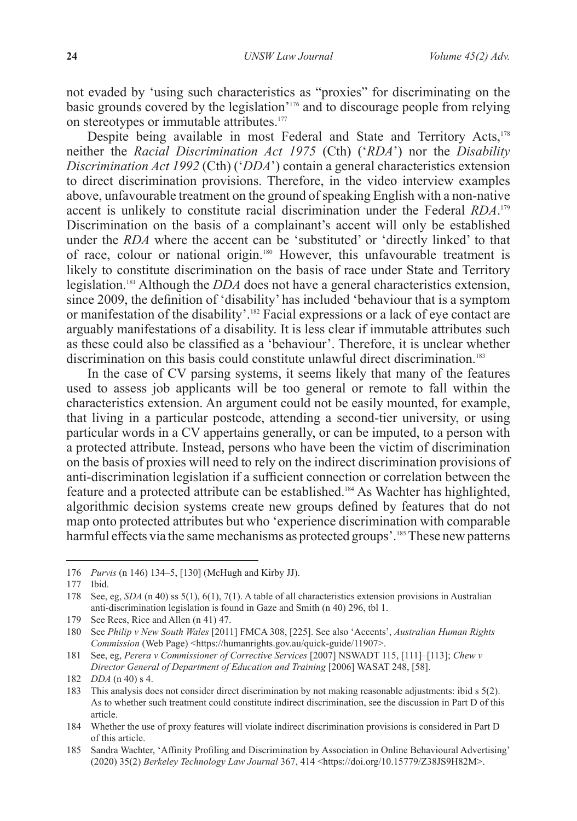not evaded by 'using such characteristics as "proxies" for discriminating on the basic grounds covered by the legislation'176 and to discourage people from relying on stereotypes or immutable attributes.<sup>177</sup>

Despite being available in most Federal and State and Territory Acts,<sup>178</sup> neither the *Racial Discrimination Act 1975* (Cth) ('*RDA*') nor the *Disability Discrimination Act 1992* (Cth) ('*DDA*') contain a general characteristics extension to direct discrimination provisions. Therefore, in the video interview examples above, unfavourable treatment on the ground of speaking English with a non-native accent is unlikely to constitute racial discrimination under the Federal *RDA*. 179 Discrimination on the basis of a complainant's accent will only be established under the *RDA* where the accent can be 'substituted' or 'directly linked' to that of race, colour or national origin.180 However, this unfavourable treatment is likely to constitute discrimination on the basis of race under State and Territory legislation.181 Although the *DDA* does not have a general characteristics extension, since 2009, the definition of 'disability' has included 'behaviour that is a symptom or manifestation of the disability'.182 Facial expressions or a lack of eye contact are arguably manifestations of a disability. It is less clear if immutable attributes such as these could also be classified as a 'behaviour'. Therefore, it is unclear whether discrimination on this basis could constitute unlawful direct discrimination.<sup>183</sup>

In the case of CV parsing systems, it seems likely that many of the features used to assess job applicants will be too general or remote to fall within the characteristics extension. An argument could not be easily mounted, for example, that living in a particular postcode, attending a second-tier university, or using particular words in a CV appertains generally, or can be imputed, to a person with a protected attribute. Instead, persons who have been the victim of discrimination on the basis of proxies will need to rely on the indirect discrimination provisions of anti-discrimination legislation if a sufficient connection or correlation between the feature and a protected attribute can be established.184 As Wachter has highlighted, algorithmic decision systems create new groups defined by features that do not map onto protected attributes but who 'experience discrimination with comparable harmful effects via the same mechanisms as protected groups'.<sup>185</sup> These new patterns

<sup>176</sup> *Purvis* (n 146) 134–5, [130] (McHugh and Kirby JJ).

<sup>177</sup> Ibid.

<sup>178</sup> See, eg, *SDA* (n 40) ss 5(1), 6(1), 7(1). A table of all characteristics extension provisions in Australian anti-discrimination legislation is found in Gaze and Smith (n 40) 296, tbl 1.

<sup>179</sup> See Rees, Rice and Allen (n 41) 47.

<sup>180</sup> See *Philip v New South Wales* [2011] FMCA 308, [225]. See also 'Accents', *Australian Human Rights Commission* (Web Page) <https://humanrights.gov.au/quick-guide/11907>.

<sup>181</sup> See, eg, *Perera v Commissioner of Corrective Services* [2007] NSWADT 115, [111]–[113]; *Chew v Director General of Department of Education and Training* [2006] WASAT 248, [58].

<sup>182</sup> *DDA* (n 40) s 4.

<sup>183</sup> This analysis does not consider direct discrimination by not making reasonable adjustments: ibid s 5(2). As to whether such treatment could constitute indirect discrimination, see the discussion in Part D of this article.

<sup>184</sup> Whether the use of proxy features will violate indirect discrimination provisions is considered in Part D of this article.

<sup>185</sup> Sandra Wachter, 'Affinity Profiling and Discrimination by Association in Online Behavioural Advertising' (2020) 35(2) *Berkeley Technology Law Journal* 367, 414 <https://doi.org/10.15779/Z38JS9H82M>.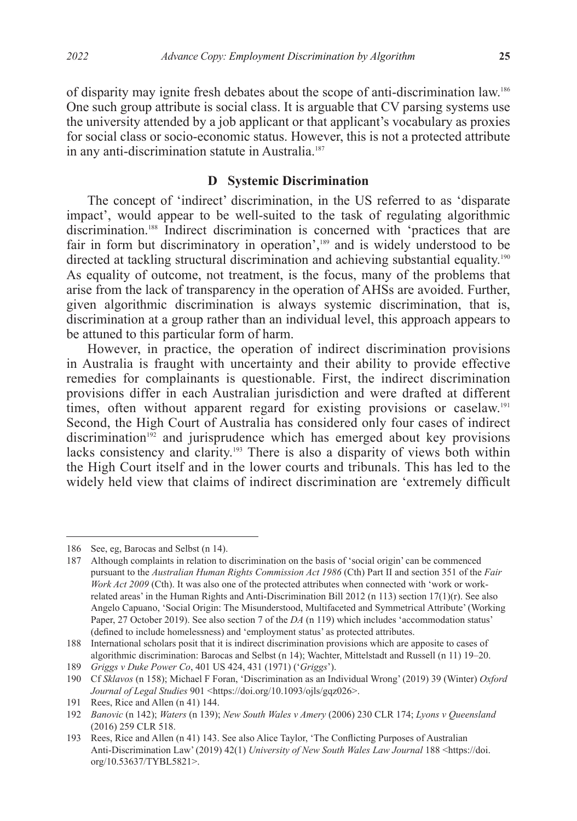of disparity may ignite fresh debates about the scope of anti-discrimination law.186 One such group attribute is social class. It is arguable that CV parsing systems use the university attended by a job applicant or that applicant's vocabulary as proxies for social class or socio-economic status. However, this is not a protected attribute in any anti-discrimination statute in Australia.<sup>187</sup>

#### **D Systemic Discrimination**

The concept of 'indirect' discrimination, in the US referred to as 'disparate impact', would appear to be well-suited to the task of regulating algorithmic discrimination.<sup>188</sup> Indirect discrimination is concerned with 'practices that are fair in form but discriminatory in operation',189 and is widely understood to be directed at tackling structural discrimination and achieving substantial equality.<sup>190</sup> As equality of outcome, not treatment, is the focus, many of the problems that arise from the lack of transparency in the operation of AHSs are avoided. Further, given algorithmic discrimination is always systemic discrimination, that is, discrimination at a group rather than an individual level, this approach appears to be attuned to this particular form of harm.

However, in practice, the operation of indirect discrimination provisions in Australia is fraught with uncertainty and their ability to provide effective remedies for complainants is questionable. First, the indirect discrimination provisions differ in each Australian jurisdiction and were drafted at different times, often without apparent regard for existing provisions or caselaw.<sup>191</sup> Second, the High Court of Australia has considered only four cases of indirect  $discrimination<sup>192</sup>$  and jurisprudence which has emerged about key provisions lacks consistency and clarity.<sup>193</sup> There is also a disparity of views both within the High Court itself and in the lower courts and tribunals. This has led to the widely held view that claims of indirect discrimination are 'extremely difficult

<sup>186</sup> See, eg, Barocas and Selbst (n 14).

<sup>187</sup> Although complaints in relation to discrimination on the basis of 'social origin' can be commenced pursuant to the *Australian Human Rights Commission Act 1986* (Cth) Part II and section 351 of the *Fair Work Act 2009* (Cth). It was also one of the protected attributes when connected with 'work or workrelated areas' in the Human Rights and Anti-Discrimination Bill 2012 (n 113) section 17(1)(r). See also Angelo Capuano, 'Social Origin: The Misunderstood, Multifaceted and Symmetrical Attribute' (Working Paper, 27 October 2019). See also section 7 of the *DA* (n 119) which includes 'accommodation status' (defined to include homelessness) and 'employment status' as protected attributes.

<sup>188</sup> International scholars posit that it is indirect discrimination provisions which are apposite to cases of algorithmic discrimination: Barocas and Selbst (n 14); Wachter, Mittelstadt and Russell (n 11) 19–20.

<sup>189</sup> *Griggs v Duke Power Co*, 401 US 424, 431 (1971) ('*Griggs*').

<sup>190</sup> Cf *Sklavos* (n 158); Michael F Foran, 'Discrimination as an Individual Wrong' (2019) 39 (Winter) *Oxford*  Journal of Legal Studies 901 <https://doi.org/10.1093/ojls/gqz026>.

<sup>191</sup> Rees, Rice and Allen (n 41) 144.

<sup>192</sup> *Banovic* (n 142); *Waters* (n 139); *New South Wales v Amery* (2006) 230 CLR 174; *Lyons v Queensland* (2016) 259 CLR 518.

<sup>193</sup> Rees, Rice and Allen (n 41) 143. See also Alice Taylor, 'The Conflicting Purposes of Australian Anti-Discrimination Law' (2019) 42(1) *University of New South Wales Law Journal* 188 <https://doi. org/10.53637/TYBL5821>.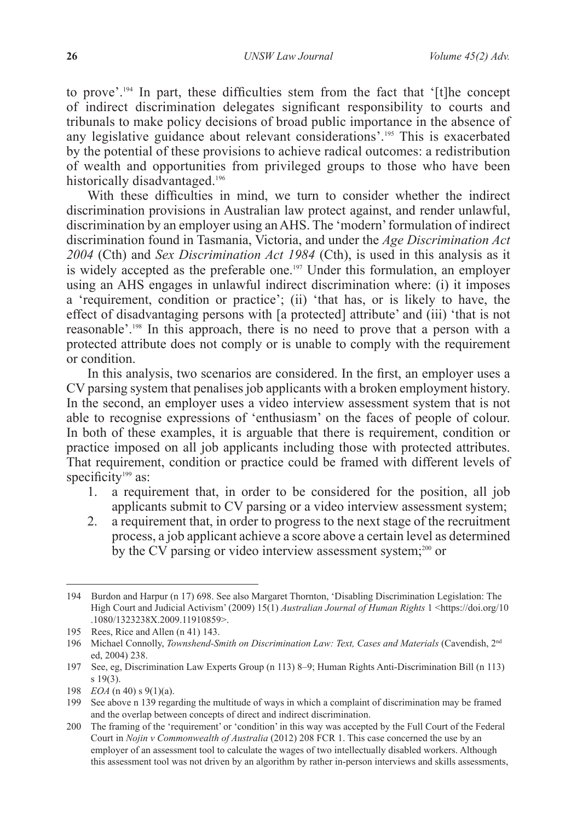to prove'.194 In part, these difficulties stem from the fact that '[t]he concept of indirect discrimination delegates significant responsibility to courts and tribunals to make policy decisions of broad public importance in the absence of any legislative guidance about relevant considerations'.195 This is exacerbated by the potential of these provisions to achieve radical outcomes: a redistribution of wealth and opportunities from privileged groups to those who have been historically disadvantaged.<sup>196</sup>

With these difficulties in mind, we turn to consider whether the indirect discrimination provisions in Australian law protect against, and render unlawful, discrimination by an employer using an AHS. The 'modern' formulation of indirect discrimination found in Tasmania, Victoria, and under the *Age Discrimination Act 2004* (Cth) and *Sex Discrimination Act 1984* (Cth), is used in this analysis as it is widely accepted as the preferable one.<sup>197</sup> Under this formulation, an employer using an AHS engages in unlawful indirect discrimination where: (i) it imposes a 'requirement, condition or practice'; (ii) 'that has, or is likely to have, the effect of disadvantaging persons with [a protected] attribute' and (iii) 'that is not reasonable'.198 In this approach, there is no need to prove that a person with a protected attribute does not comply or is unable to comply with the requirement or condition.

In this analysis, two scenarios are considered. In the first, an employer uses a CV parsing system that penalises job applicants with a broken employment history. In the second, an employer uses a video interview assessment system that is not able to recognise expressions of 'enthusiasm' on the faces of people of colour. In both of these examples, it is arguable that there is requirement, condition or practice imposed on all job applicants including those with protected attributes. That requirement, condition or practice could be framed with different levels of specificity<sup>199</sup> as:

- 1. a requirement that, in order to be considered for the position, all job applicants submit to CV parsing or a video interview assessment system;
- 2. a requirement that, in order to progress to the next stage of the recruitment process, a job applicant achieve a score above a certain level as determined by the CV parsing or video interview assessment system;<sup>200</sup> or

<sup>194</sup> Burdon and Harpur (n 17) 698. See also Margaret Thornton, 'Disabling Discrimination Legislation: The High Court and Judicial Activism' (2009) 15(1) *Australian Journal of Human Rights* 1 <https://doi.org/10 .1080/1323238X.2009.11910859>.

<sup>195</sup> Rees, Rice and Allen (n 41) 143.

<sup>196</sup> Michael Connolly, *Townshend-Smith on Discrimination Law: Text, Cases and Materials* (Cavendish, 2<sup>nd</sup> ed, 2004) 238.

<sup>197</sup> See, eg, Discrimination Law Experts Group (n 113) 8–9; Human Rights Anti-Discrimination Bill (n 113) s 19(3).

<sup>198</sup> *EOA* (n 40) s 9(1)(a).

<sup>199</sup> See above n 139 regarding the multitude of ways in which a complaint of discrimination may be framed and the overlap between concepts of direct and indirect discrimination.

<sup>200</sup> The framing of the 'requirement' or 'condition' in this way was accepted by the Full Court of the Federal Court in *Nojin v Commonwealth of Australia* (2012) 208 FCR 1. This case concerned the use by an employer of an assessment tool to calculate the wages of two intellectually disabled workers. Although this assessment tool was not driven by an algorithm by rather in-person interviews and skills assessments,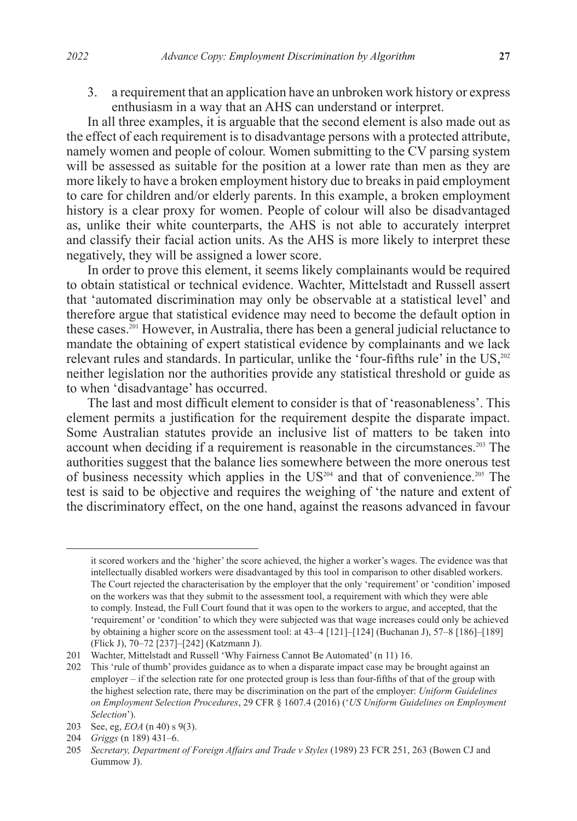3. a requirement that an application have an unbroken work history or express enthusiasm in a way that an AHS can understand or interpret.

In all three examples, it is arguable that the second element is also made out as the effect of each requirement is to disadvantage persons with a protected attribute, namely women and people of colour. Women submitting to the CV parsing system will be assessed as suitable for the position at a lower rate than men as they are more likely to have a broken employment history due to breaks in paid employment to care for children and/or elderly parents. In this example, a broken employment history is a clear proxy for women. People of colour will also be disadvantaged as, unlike their white counterparts, the AHS is not able to accurately interpret and classify their facial action units. As the AHS is more likely to interpret these negatively, they will be assigned a lower score.

In order to prove this element, it seems likely complainants would be required to obtain statistical or technical evidence. Wachter, Mittelstadt and Russell assert that 'automated discrimination may only be observable at a statistical level' and therefore argue that statistical evidence may need to become the default option in these cases.<sup>201</sup> However, in Australia, there has been a general judicial reluctance to mandate the obtaining of expert statistical evidence by complainants and we lack relevant rules and standards. In particular, unlike the 'four-fifths rule' in the US,<sup>202</sup> neither legislation nor the authorities provide any statistical threshold or guide as to when 'disadvantage' has occurred.

The last and most difficult element to consider is that of 'reasonableness'. This element permits a justification for the requirement despite the disparate impact. Some Australian statutes provide an inclusive list of matters to be taken into account when deciding if a requirement is reasonable in the circumstances.<sup>203</sup> The authorities suggest that the balance lies somewhere between the more onerous test of business necessity which applies in the  $US<sup>204</sup>$  and that of convenience.<sup>205</sup> The test is said to be objective and requires the weighing of 'the nature and extent of the discriminatory effect, on the one hand, against the reasons advanced in favour

it scored workers and the 'higher' the score achieved, the higher a worker's wages. The evidence was that intellectually disabled workers were disadvantaged by this tool in comparison to other disabled workers. The Court rejected the characterisation by the employer that the only 'requirement' or 'condition' imposed on the workers was that they submit to the assessment tool, a requirement with which they were able to comply. Instead, the Full Court found that it was open to the workers to argue, and accepted, that the 'requirement' or 'condition' to which they were subjected was that wage increases could only be achieved by obtaining a higher score on the assessment tool: at 43–4 [121]–[124] (Buchanan J), 57–8 [186]–[189] (Flick J), 70–72 [237]–[242] (Katzmann J).

<sup>201</sup> Wachter, Mittelstadt and Russell 'Why Fairness Cannot Be Automated' (n 11) 16.

<sup>202</sup> This 'rule of thumb' provides guidance as to when a disparate impact case may be brought against an employer – if the selection rate for one protected group is less than four-fifths of that of the group with the highest selection rate, there may be discrimination on the part of the employer: *Uniform Guidelines on Employment Selection Procedures*, 29 CFR § 1607.4 (2016) ('*US Uniform Guidelines on Employment Selection*').

<sup>203</sup> See, eg, *EOA* (n 40) s 9(3).

<sup>204</sup> *Griggs* (n 189) 431–6.

<sup>205</sup> *Secretary, Department of Foreign Affairs and Trade v Styles* (1989) 23 FCR 251, 263 (Bowen CJ and Gummow J).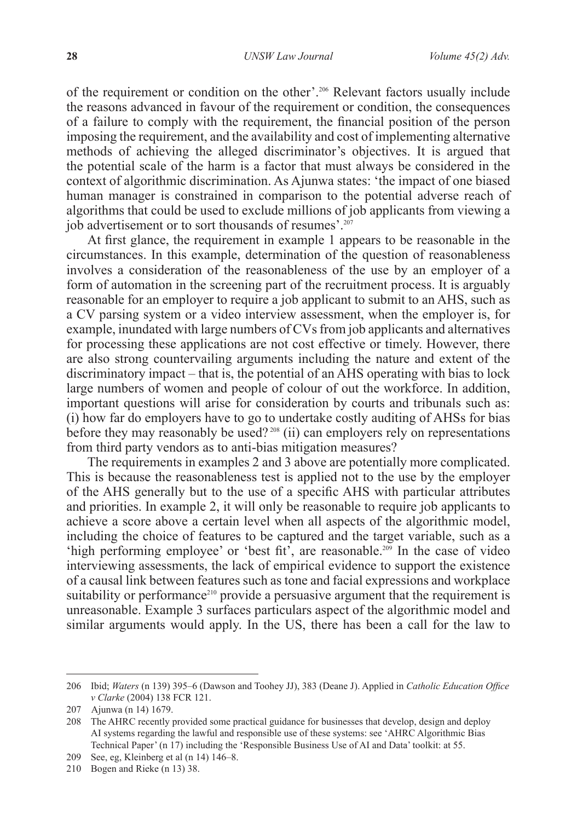of the requirement or condition on the other'.206 Relevant factors usually include the reasons advanced in favour of the requirement or condition, the consequences of a failure to comply with the requirement, the financial position of the person imposing the requirement, and the availability and cost of implementing alternative methods of achieving the alleged discriminator's objectives. It is argued that the potential scale of the harm is a factor that must always be considered in the context of algorithmic discrimination. As Ajunwa states: 'the impact of one biased human manager is constrained in comparison to the potential adverse reach of algorithms that could be used to exclude millions of job applicants from viewing a job advertisement or to sort thousands of resumes'.<sup>207</sup>

At first glance, the requirement in example 1 appears to be reasonable in the circumstances. In this example, determination of the question of reasonableness involves a consideration of the reasonableness of the use by an employer of a form of automation in the screening part of the recruitment process. It is arguably reasonable for an employer to require a job applicant to submit to an AHS, such as a CV parsing system or a video interview assessment, when the employer is, for example, inundated with large numbers of CVs from job applicants and alternatives for processing these applications are not cost effective or timely. However, there are also strong countervailing arguments including the nature and extent of the discriminatory impact – that is, the potential of an AHS operating with bias to lock large numbers of women and people of colour of out the workforce. In addition, important questions will arise for consideration by courts and tribunals such as: (i) how far do employers have to go to undertake costly auditing of AHSs for bias before they may reasonably be used?<sup>208</sup> (ii) can employers rely on representations from third party vendors as to anti-bias mitigation measures?

The requirements in examples 2 and 3 above are potentially more complicated. This is because the reasonableness test is applied not to the use by the employer of the AHS generally but to the use of a specific AHS with particular attributes and priorities. In example 2, it will only be reasonable to require job applicants to achieve a score above a certain level when all aspects of the algorithmic model, including the choice of features to be captured and the target variable, such as a 'high performing employee' or 'best fit', are reasonable.<sup>209</sup> In the case of video interviewing assessments, the lack of empirical evidence to support the existence of a causal link between features such as tone and facial expressions and workplace suitability or performance<sup>210</sup> provide a persuasive argument that the requirement is unreasonable. Example 3 surfaces particulars aspect of the algorithmic model and similar arguments would apply. In the US, there has been a call for the law to

<sup>206</sup> Ibid; *Waters* (n 139) 395–6 (Dawson and Toohey JJ), 383 (Deane J). Applied in *Catholic Education Office v Clarke* (2004) 138 FCR 121.

<sup>207</sup> Ajunwa (n 14) 1679.

<sup>208</sup> The AHRC recently provided some practical guidance for businesses that develop, design and deploy AI systems regarding the lawful and responsible use of these systems: see 'AHRC Algorithmic Bias Technical Paper' (n 17) including the 'Responsible Business Use of AI and Data' toolkit: at 55.

<sup>209</sup> See, eg, Kleinberg et al (n 14) 146–8.

<sup>210</sup> Bogen and Rieke (n 13) 38.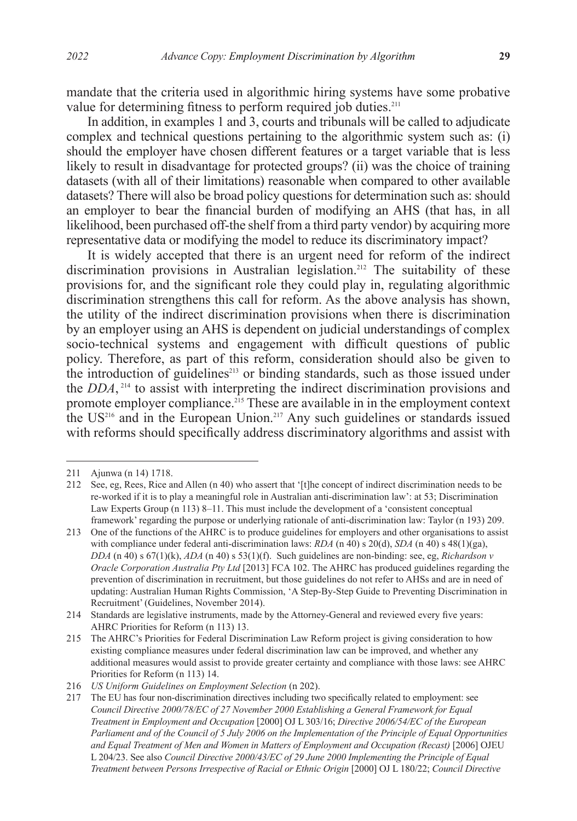mandate that the criteria used in algorithmic hiring systems have some probative value for determining fitness to perform required job duties.<sup>211</sup>

In addition, in examples 1 and 3, courts and tribunals will be called to adjudicate complex and technical questions pertaining to the algorithmic system such as: (i) should the employer have chosen different features or a target variable that is less likely to result in disadvantage for protected groups? (ii) was the choice of training datasets (with all of their limitations) reasonable when compared to other available datasets? There will also be broad policy questions for determination such as: should an employer to bear the financial burden of modifying an AHS (that has, in all likelihood, been purchased off-the shelf from a third party vendor) by acquiring more representative data or modifying the model to reduce its discriminatory impact?

It is widely accepted that there is an urgent need for reform of the indirect discrimination provisions in Australian legislation.<sup>212</sup> The suitability of these provisions for, and the significant role they could play in, regulating algorithmic discrimination strengthens this call for reform. As the above analysis has shown, the utility of the indirect discrimination provisions when there is discrimination by an employer using an AHS is dependent on judicial understandings of complex socio-technical systems and engagement with difficult questions of public policy. Therefore, as part of this reform, consideration should also be given to the introduction of guidelines<sup>213</sup> or binding standards, such as those issued under the *DDA*,<sup>214</sup> to assist with interpreting the indirect discrimination provisions and promote employer compliance.<sup>215</sup> These are available in in the employment context the US<sup>216</sup> and in the European Union.<sup>217</sup> Any such guidelines or standards issued with reforms should specifically address discriminatory algorithms and assist with

<sup>211</sup> Ajunwa (n 14) 1718.

<sup>212</sup> See, eg, Rees, Rice and Allen (n 40) who assert that '[t]he concept of indirect discrimination needs to be re-worked if it is to play a meaningful role in Australian anti-discrimination law': at 53; Discrimination Law Experts Group (n 113) 8–11. This must include the development of a 'consistent conceptual framework' regarding the purpose or underlying rationale of anti-discrimination law: Taylor (n 193) 209.

<sup>213</sup> One of the functions of the AHRC is to produce guidelines for employers and other organisations to assist with compliance under federal anti-discrimination laws: *RDA* (n 40) s 20(d), *SDA* (n 40) s 48(1)(ga), *DDA* (n 40) s 67(1)(k), *ADA* (n 40) s 53(1)(f). Such guidelines are non-binding: see, eg, *Richardson v Oracle Corporation Australia Pty Ltd* [2013] FCA 102. The AHRC has produced guidelines regarding the prevention of discrimination in recruitment, but those guidelines do not refer to AHSs and are in need of updating: Australian Human Rights Commission, 'A Step-By-Step Guide to Preventing Discrimination in Recruitment' (Guidelines, November 2014).

<sup>214</sup> Standards are legislative instruments, made by the Attorney-General and reviewed every five years: AHRC Priorities for Reform (n 113) 13.

<sup>215</sup> The AHRC's Priorities for Federal Discrimination Law Reform project is giving consideration to how existing compliance measures under federal discrimination law can be improved, and whether any additional measures would assist to provide greater certainty and compliance with those laws: see AHRC Priorities for Reform (n 113) 14.

<sup>216</sup> *US Uniform Guidelines on Employment Selection* (n 202).

<sup>217</sup> The EU has four non-discrimination directives including two specifically related to employment: see *Council Directive 2000/78/EC of 27 November 2000 Establishing a General Framework for Equal Treatment in Employment and Occupation* [2000] OJ L 303/16; *Directive 2006/54/EC of the European Parliament and of the Council of 5 July 2006 on the Implementation of the Principle of Equal Opportunities and Equal Treatment of Men and Women in Matters of Employment and Occupation (Recast)* [2006] OJEU L 204/23. See also *Council Directive 2000/43/EC of 29 June 2000 Implementing the Principle of Equal Treatment between Persons Irrespective of Racial or Ethnic Origin* [2000] OJ L 180/22; *Council Directive*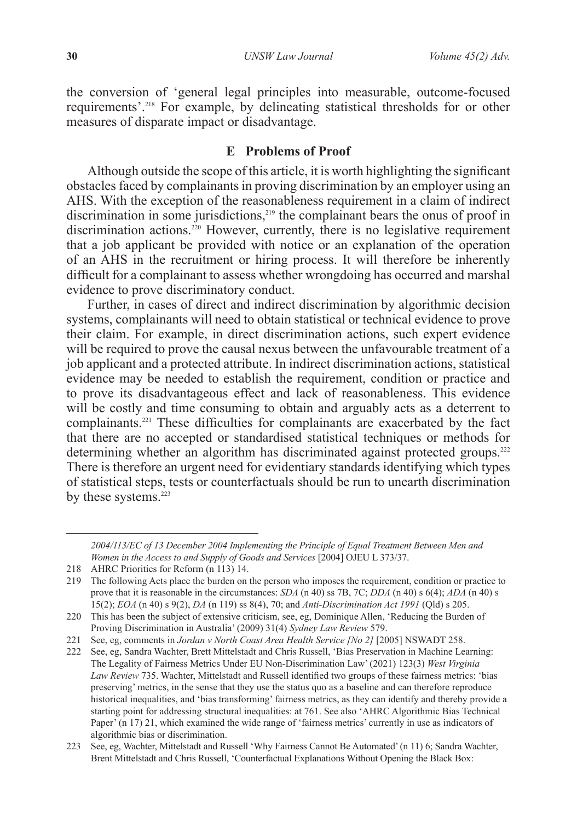the conversion of 'general legal principles into measurable, outcome-focused requirements'.218 For example, by delineating statistical thresholds for or other measures of disparate impact or disadvantage.

### **E Problems of Proof**

Although outside the scope of this article, it is worth highlighting the significant obstacles faced by complainants in proving discrimination by an employer using an AHS. With the exception of the reasonableness requirement in a claim of indirect discrimination in some jurisdictions,<sup>219</sup> the complainant bears the onus of proof in discrimination actions.<sup>220</sup> However, currently, there is no legislative requirement that a job applicant be provided with notice or an explanation of the operation of an AHS in the recruitment or hiring process. It will therefore be inherently difficult for a complainant to assess whether wrongdoing has occurred and marshal evidence to prove discriminatory conduct.

Further, in cases of direct and indirect discrimination by algorithmic decision systems, complainants will need to obtain statistical or technical evidence to prove their claim. For example, in direct discrimination actions, such expert evidence will be required to prove the causal nexus between the unfavourable treatment of a job applicant and a protected attribute. In indirect discrimination actions, statistical evidence may be needed to establish the requirement, condition or practice and to prove its disadvantageous effect and lack of reasonableness. This evidence will be costly and time consuming to obtain and arguably acts as a deterrent to complainants.221 These difficulties for complainants are exacerbated by the fact that there are no accepted or standardised statistical techniques or methods for determining whether an algorithm has discriminated against protected groups.<sup>222</sup> There is therefore an urgent need for evidentiary standards identifying which types of statistical steps, tests or counterfactuals should be run to unearth discrimination by these systems.<sup>223</sup>

*<sup>2004/113/</sup>EC of 13 December 2004 Implementing the Principle of Equal Treatment Between Men and Women in the Access to and Supply of Goods and Services* [2004] OJEU L 373/37.

<sup>218</sup> AHRC Priorities for Reform (n 113) 14.

<sup>219</sup> The following Acts place the burden on the person who imposes the requirement, condition or practice to prove that it is reasonable in the circumstances: *SDA* (n 40) ss 7B, 7C; *DDA* (n 40) s 6(4); *ADA* (n 40) s 15(2); *EOA* (n 40) s 9(2), *DA* (n 119) ss 8(4), 70; and *Anti-Discrimination Act 1991* (Qld) s 205.

<sup>220</sup> This has been the subject of extensive criticism, see, eg, Dominique Allen, 'Reducing the Burden of Proving Discrimination in Australia' (2009) 31(4) *Sydney Law Review* 579.

<sup>221</sup> See, eg, comments in *Jordan v North Coast Area Health Service [No 2]* [2005] NSWADT 258.

<sup>222</sup> See, eg, Sandra Wachter, Brett Mittelstadt and Chris Russell, 'Bias Preservation in Machine Learning: The Legality of Fairness Metrics Under EU Non-Discrimination Law' (2021) 123(3) *West Virginia Law Review* 735. Wachter, Mittelstadt and Russell identified two groups of these fairness metrics: 'bias preserving' metrics, in the sense that they use the status quo as a baseline and can therefore reproduce historical inequalities, and 'bias transforming' fairness metrics, as they can identify and thereby provide a starting point for addressing structural inequalities: at 761. See also 'AHRC Algorithmic Bias Technical Paper' (n 17) 21, which examined the wide range of 'fairness metrics' currently in use as indicators of algorithmic bias or discrimination.

<sup>223</sup> See, eg, Wachter, Mittelstadt and Russell 'Why Fairness Cannot Be Automated' (n 11) 6; Sandra Wachter, Brent Mittelstadt and Chris Russell, 'Counterfactual Explanations Without Opening the Black Box: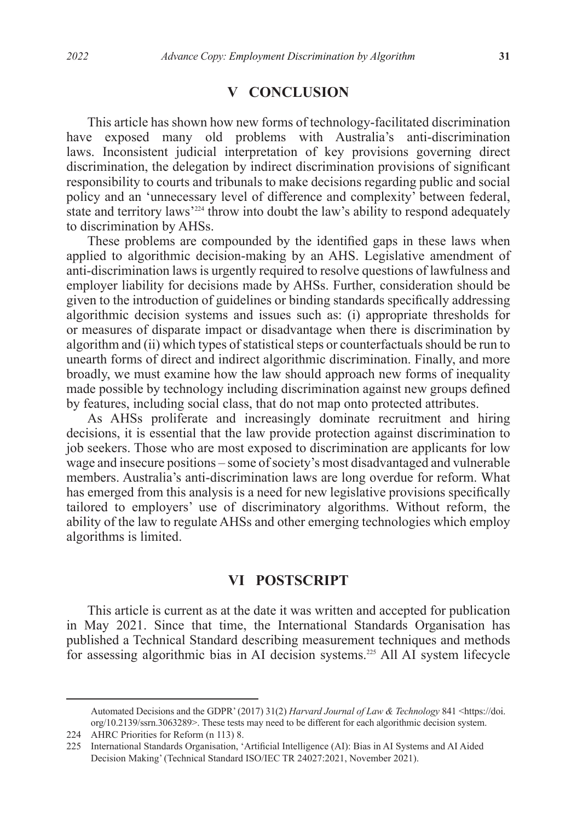## **V CONCLUSION**

This article has shown how new forms of technology-facilitated discrimination have exposed many old problems with Australia's anti-discrimination laws. Inconsistent judicial interpretation of key provisions governing direct discrimination, the delegation by indirect discrimination provisions of significant responsibility to courts and tribunals to make decisions regarding public and social policy and an 'unnecessary level of difference and complexity' between federal, state and territory laws<sup>'224</sup> throw into doubt the law's ability to respond adequately to discrimination by AHSs.

These problems are compounded by the identified gaps in these laws when applied to algorithmic decision-making by an AHS. Legislative amendment of anti-discrimination laws is urgently required to resolve questions of lawfulness and employer liability for decisions made by AHSs. Further, consideration should be given to the introduction of guidelines or binding standards specifically addressing algorithmic decision systems and issues such as: (i) appropriate thresholds for or measures of disparate impact or disadvantage when there is discrimination by algorithm and (ii) which types of statistical steps or counterfactuals should be run to unearth forms of direct and indirect algorithmic discrimination. Finally, and more broadly, we must examine how the law should approach new forms of inequality made possible by technology including discrimination against new groups defined by features, including social class, that do not map onto protected attributes.

As AHSs proliferate and increasingly dominate recruitment and hiring decisions, it is essential that the law provide protection against discrimination to job seekers. Those who are most exposed to discrimination are applicants for low wage and insecure positions – some of society's most disadvantaged and vulnerable members. Australia's anti-discrimination laws are long overdue for reform. What has emerged from this analysis is a need for new legislative provisions specifically tailored to employers' use of discriminatory algorithms. Without reform, the ability of the law to regulate AHSs and other emerging technologies which employ algorithms is limited.

### **VI POSTSCRIPT**

This article is current as at the date it was written and accepted for publication in May 2021. Since that time, the International Standards Organisation has published a Technical Standard describing measurement techniques and methods for assessing algorithmic bias in AI decision systems.<sup>225</sup> All AI system lifecycle

Automated Decisions and the GDPR' (2017) 31(2) *Harvard Journal of Law & Technology* 841 <https://doi. org/10.2139/ssrn.3063289>. These tests may need to be different for each algorithmic decision system.

<sup>224</sup> AHRC Priorities for Reform (n 113) 8.

<sup>225</sup> International Standards Organisation, 'Artificial Intelligence (AI): Bias in AI Systems and AI Aided Decision Making' (Technical Standard ISO/IEC TR 24027:2021, November 2021).